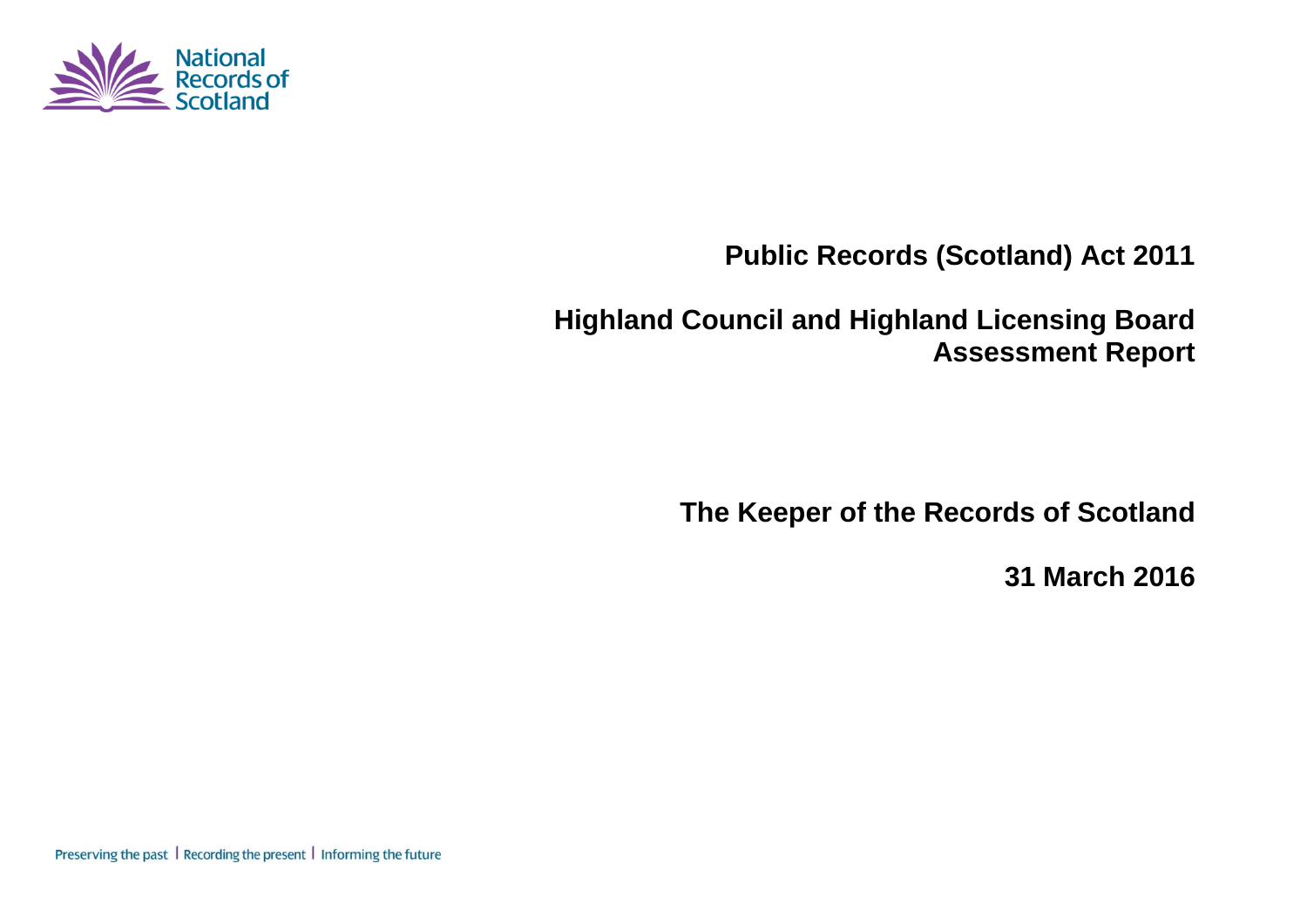

# **Public Records (Scotland) Act 2011**

# **Highland Council and Highland Licensing Board Assessment Report**

**The Keeper of the Records of Scotland**

**31 March 2016**

Preserving the past | Recording the present | Informing the future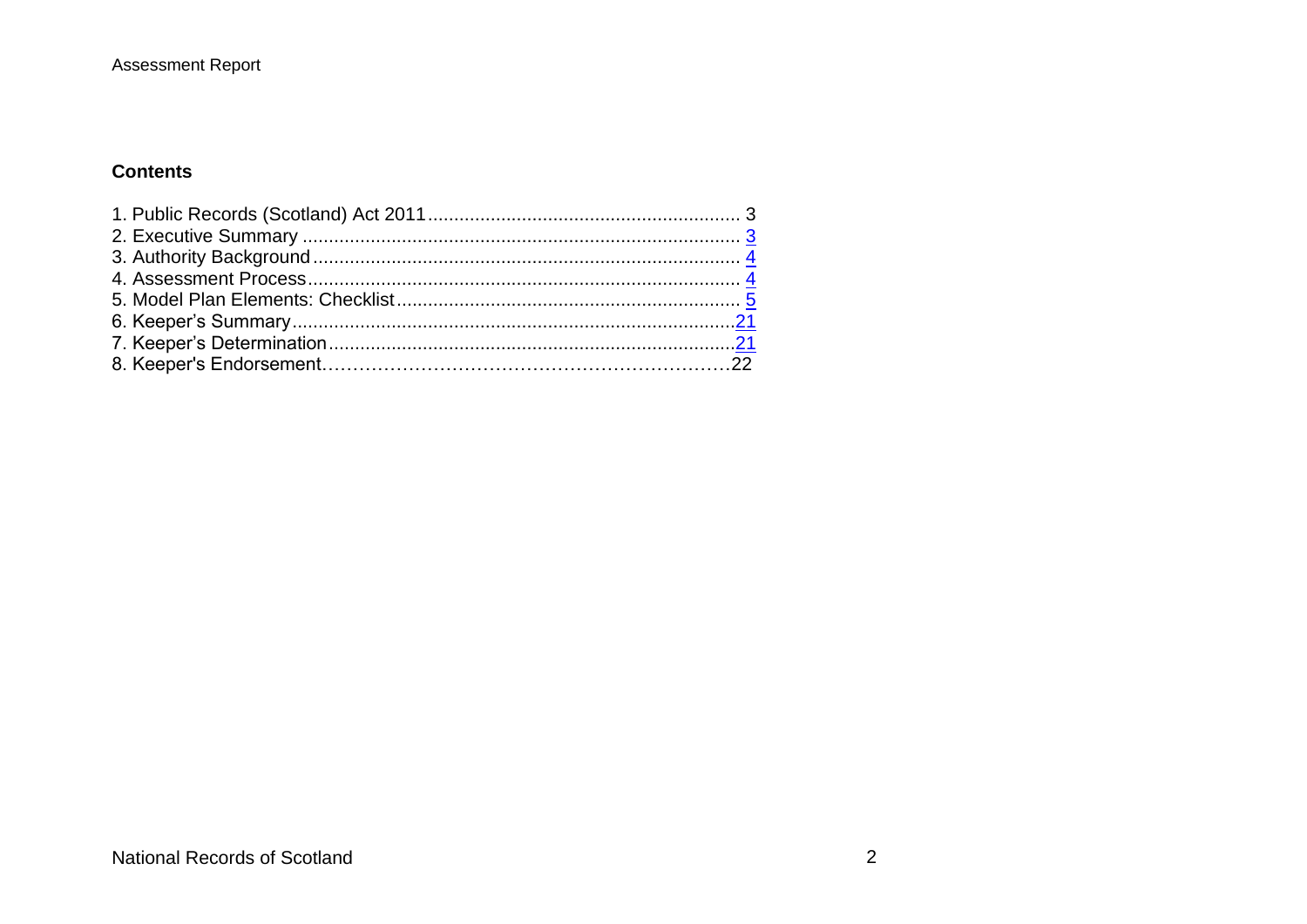### **Contents**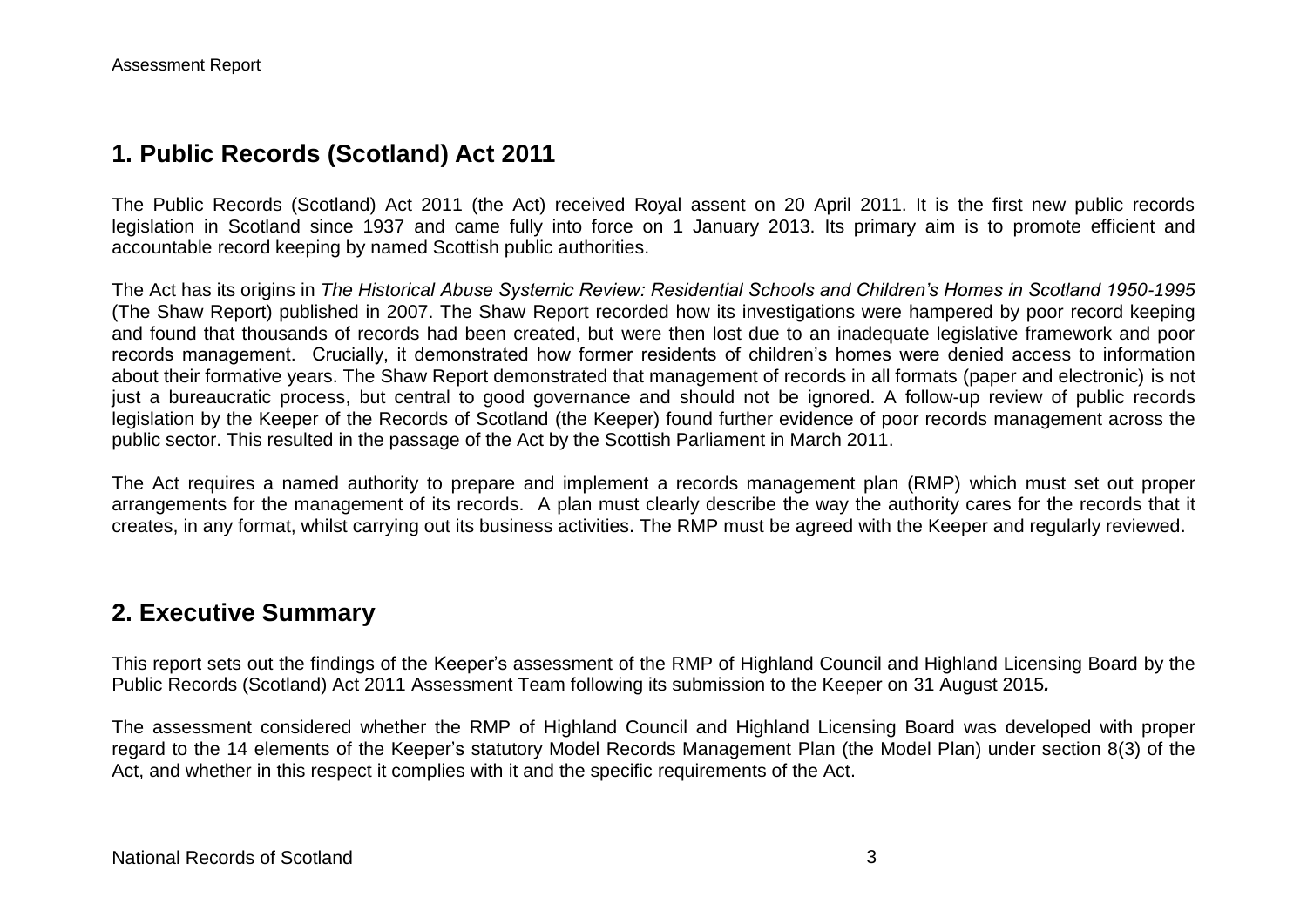## **1. Public Records (Scotland) Act 2011**

The Public Records (Scotland) Act 2011 (the Act) received Royal assent on 20 April 2011. It is the first new public records legislation in Scotland since 1937 and came fully into force on 1 January 2013. Its primary aim is to promote efficient and accountable record keeping by named Scottish public authorities.

The Act has its origins in *The Historical Abuse Systemic Review: Residential Schools and Children's Homes in Scotland 1950-1995* (The Shaw Report) published in 2007. The Shaw Report recorded how its investigations were hampered by poor record keeping and found that thousands of records had been created, but were then lost due to an inadequate legislative framework and poor records management. Crucially, it demonstrated how former residents of children's homes were denied access to information about their formative years. The Shaw Report demonstrated that management of records in all formats (paper and electronic) is not just a bureaucratic process, but central to good governance and should not be ignored. A follow-up review of public records legislation by the Keeper of the Records of Scotland (the Keeper) found further evidence of poor records management across the public sector. This resulted in the passage of the Act by the Scottish Parliament in March 2011.

The Act requires a named authority to prepare and implement a records management plan (RMP) which must set out proper arrangements for the management of its records. A plan must clearly describe the way the authority cares for the records that it creates, in any format, whilst carrying out its business activities. The RMP must be agreed with the Keeper and regularly reviewed.

## **2. Executive Summary**

This report sets out the findings of the Keeper's assessment of the RMP of Highland Council and Highland Licensing Board by the Public Records (Scotland) Act 2011 Assessment Team following its submission to the Keeper on 31 August 2015*.*

The assessment considered whether the RMP of Highland Council and Highland Licensing Board was developed with proper regard to the 14 elements of the Keeper's statutory Model Records Management Plan (the Model Plan) under section 8(3) of the Act, and whether in this respect it complies with it and the specific requirements of the Act.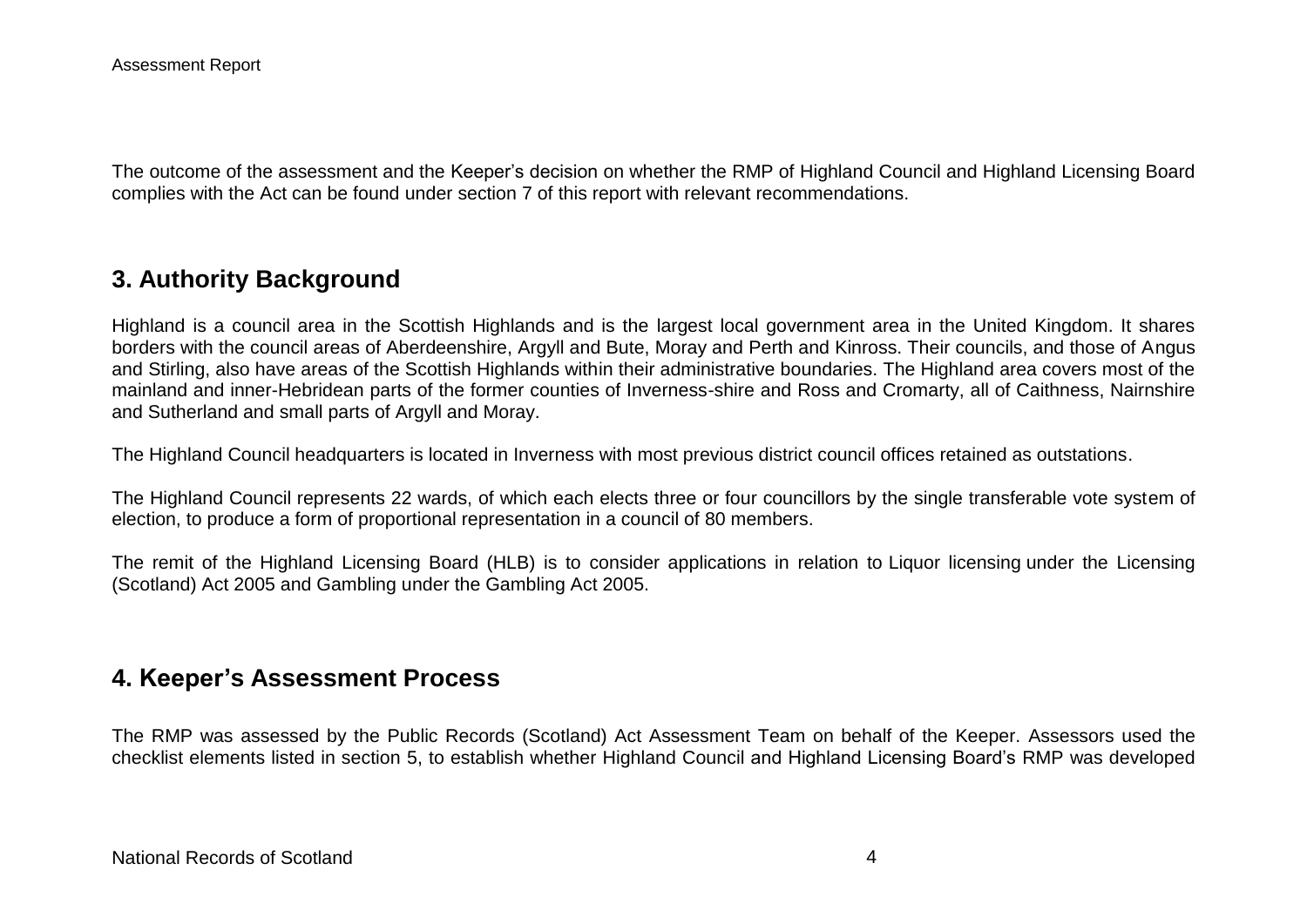The outcome of the assessment and the Keeper's decision on whether the RMP of Highland Council and Highland Licensing Board complies with the Act can be found under section 7 of this report with relevant recommendations.

## **3. Authority Background**

Highland is a council area in the Scottish Highlands and is the largest local government area in the United Kingdom. It shares borders with the council areas of Aberdeenshire, Argyll and Bute, Moray and Perth and Kinross. Their councils, and those of Angus and Stirling, also have areas of the Scottish Highlands within their administrative boundaries. The Highland area covers most of the mainland and inner-Hebridean parts of the former counties of Inverness-shire and Ross and Cromarty, all of Caithness, Nairnshire and Sutherland and small parts of Argyll and Moray.

The Highland Council headquarters is located in Inverness with most previous district council offices retained as outstations.

The Highland Council represents 22 wards, of which each elects three or four councillors by the single transferable vote system of election, to produce a form of proportional representation in a council of 80 members.

The remit of the Highland Licensing Board (HLB) is to consider applications in relation to Liquor licensing under the Licensing (Scotland) Act 2005 and Gambling under the Gambling Act 2005.

## **4. Keeper's Assessment Process**

The RMP was assessed by the Public Records (Scotland) Act Assessment Team on behalf of the Keeper. Assessors used the checklist elements listed in section 5, to establish whether Highland Council and Highland Licensing Board's RMP was developed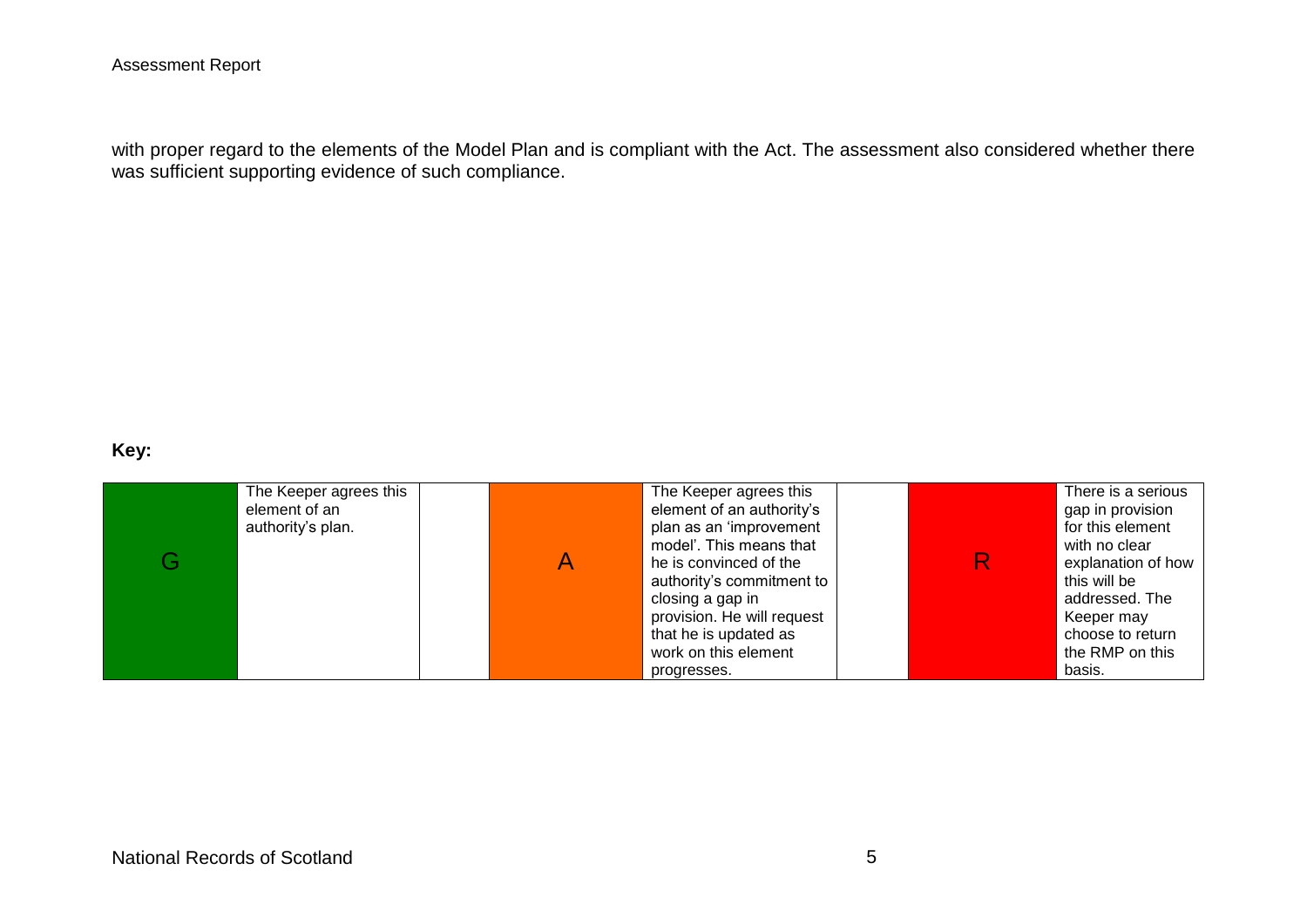with proper regard to the elements of the Model Plan and is compliant with the Act. The assessment also considered whether there was sufficient supporting evidence of such compliance.

### **Key:**

| The Keeper agrees this<br>element of an<br>authority's plan. | The Keeper agrees this<br>element of an authority's<br>plan as an 'improvement<br>model'. This means that<br>he is convinced of the<br>authority's commitment to |  | There is a serious<br>gap in provision<br>for this element<br>with no clear<br>explanation of how<br>this will be |
|--------------------------------------------------------------|------------------------------------------------------------------------------------------------------------------------------------------------------------------|--|-------------------------------------------------------------------------------------------------------------------|
|                                                              | closing a gap in<br>provision. He will request                                                                                                                   |  | addressed. The<br>Keeper may                                                                                      |
|                                                              | that he is updated as<br>work on this element<br>progresses.                                                                                                     |  | choose to return<br>the RMP on this<br>basis.                                                                     |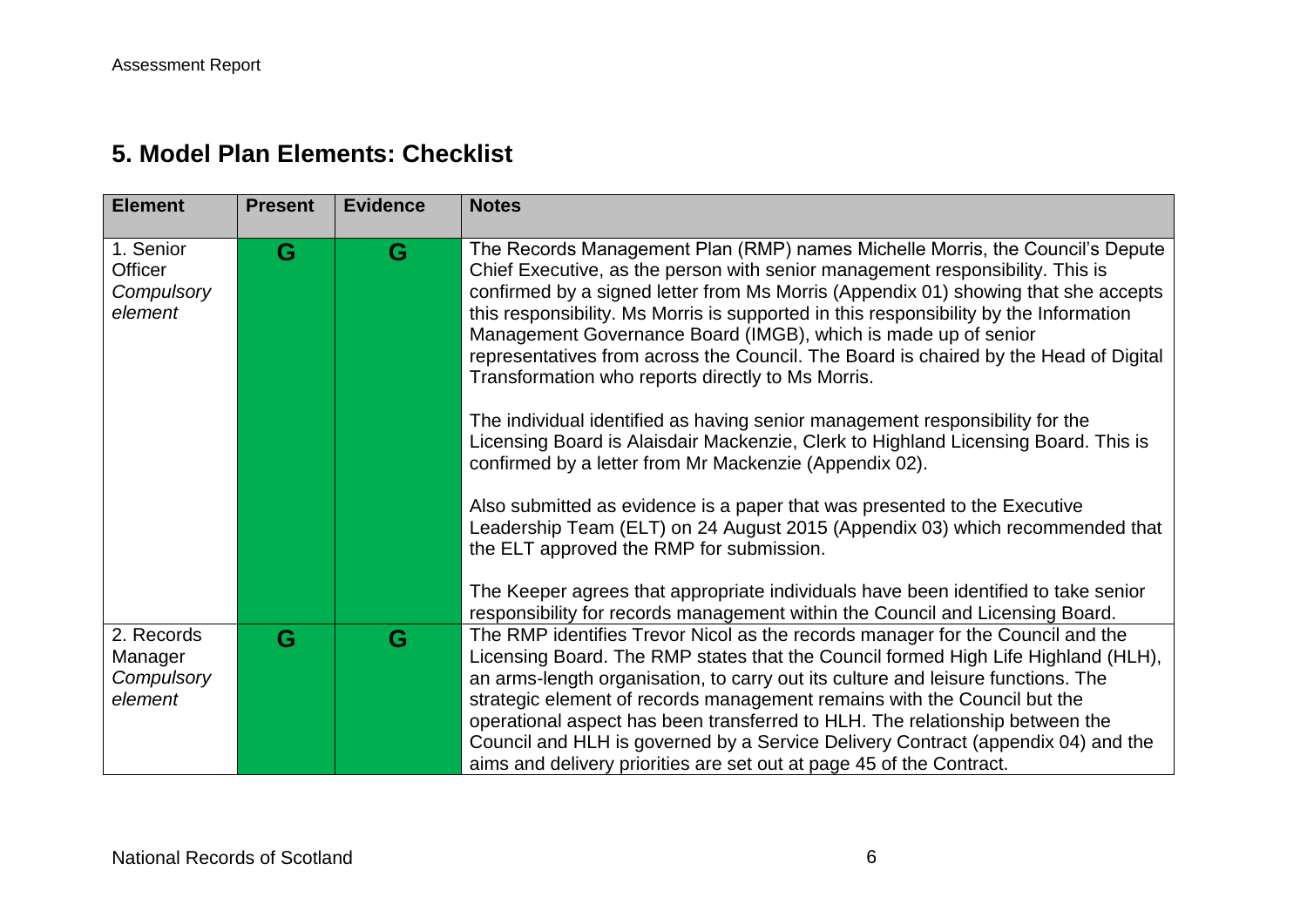## **5. Model Plan Elements: Checklist**

| <b>Element</b>                                 | <b>Present</b> | <b>Evidence</b> | <b>Notes</b>                                                                                                                                                                                                                                                                                                                                                                                                                                                                                                                                                                                                                                                                                                                                                                                                                                                                                                                                              |
|------------------------------------------------|----------------|-----------------|-----------------------------------------------------------------------------------------------------------------------------------------------------------------------------------------------------------------------------------------------------------------------------------------------------------------------------------------------------------------------------------------------------------------------------------------------------------------------------------------------------------------------------------------------------------------------------------------------------------------------------------------------------------------------------------------------------------------------------------------------------------------------------------------------------------------------------------------------------------------------------------------------------------------------------------------------------------|
| 1. Senior<br>Officer<br>Compulsory<br>element  | G              | G               | The Records Management Plan (RMP) names Michelle Morris, the Council's Depute<br>Chief Executive, as the person with senior management responsibility. This is<br>confirmed by a signed letter from Ms Morris (Appendix 01) showing that she accepts<br>this responsibility. Ms Morris is supported in this responsibility by the Information<br>Management Governance Board (IMGB), which is made up of senior<br>representatives from across the Council. The Board is chaired by the Head of Digital<br>Transformation who reports directly to Ms Morris.<br>The individual identified as having senior management responsibility for the<br>Licensing Board is Alaisdair Mackenzie, Clerk to Highland Licensing Board. This is<br>confirmed by a letter from Mr Mackenzie (Appendix 02).<br>Also submitted as evidence is a paper that was presented to the Executive<br>Leadership Team (ELT) on 24 August 2015 (Appendix 03) which recommended that |
|                                                |                |                 | the ELT approved the RMP for submission.<br>The Keeper agrees that appropriate individuals have been identified to take senior<br>responsibility for records management within the Council and Licensing Board.                                                                                                                                                                                                                                                                                                                                                                                                                                                                                                                                                                                                                                                                                                                                           |
| 2. Records<br>Manager<br>Compulsory<br>element | G              | G               | The RMP identifies Trevor Nicol as the records manager for the Council and the<br>Licensing Board. The RMP states that the Council formed High Life Highland (HLH),<br>an arms-length organisation, to carry out its culture and leisure functions. The<br>strategic element of records management remains with the Council but the<br>operational aspect has been transferred to HLH. The relationship between the<br>Council and HLH is governed by a Service Delivery Contract (appendix 04) and the<br>aims and delivery priorities are set out at page 45 of the Contract.                                                                                                                                                                                                                                                                                                                                                                           |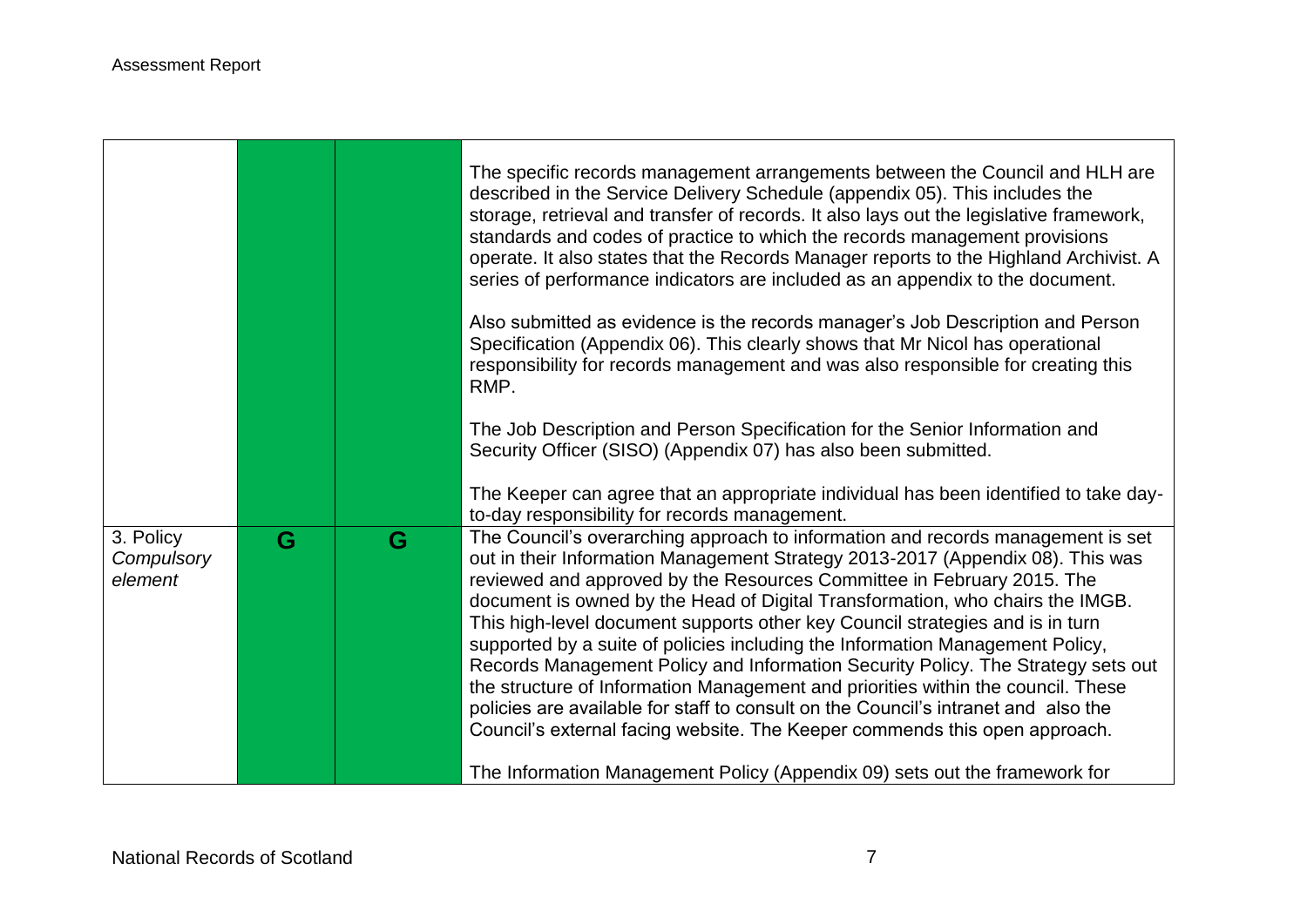$\Gamma$ 

|                                    |   |   | The specific records management arrangements between the Council and HLH are<br>described in the Service Delivery Schedule (appendix 05). This includes the<br>storage, retrieval and transfer of records. It also lays out the legislative framework,<br>standards and codes of practice to which the records management provisions<br>operate. It also states that the Records Manager reports to the Highland Archivist. A<br>series of performance indicators are included as an appendix to the document.<br>Also submitted as evidence is the records manager's Job Description and Person<br>Specification (Appendix 06). This clearly shows that Mr Nicol has operational<br>responsibility for records management and was also responsible for creating this<br>RMP.<br>The Job Description and Person Specification for the Senior Information and<br>Security Officer (SISO) (Appendix 07) has also been submitted. |
|------------------------------------|---|---|--------------------------------------------------------------------------------------------------------------------------------------------------------------------------------------------------------------------------------------------------------------------------------------------------------------------------------------------------------------------------------------------------------------------------------------------------------------------------------------------------------------------------------------------------------------------------------------------------------------------------------------------------------------------------------------------------------------------------------------------------------------------------------------------------------------------------------------------------------------------------------------------------------------------------------|
|                                    |   |   | The Keeper can agree that an appropriate individual has been identified to take day-<br>to-day responsibility for records management.                                                                                                                                                                                                                                                                                                                                                                                                                                                                                                                                                                                                                                                                                                                                                                                          |
| 3. Policy<br>Compulsory<br>element | G | G | The Council's overarching approach to information and records management is set<br>out in their Information Management Strategy 2013-2017 (Appendix 08). This was<br>reviewed and approved by the Resources Committee in February 2015. The<br>document is owned by the Head of Digital Transformation, who chairs the IMGB.<br>This high-level document supports other key Council strategies and is in turn<br>supported by a suite of policies including the Information Management Policy,<br>Records Management Policy and Information Security Policy. The Strategy sets out<br>the structure of Information Management and priorities within the council. These<br>policies are available for staff to consult on the Council's intranet and also the<br>Council's external facing website. The Keeper commends this open approach.<br>The Information Management Policy (Appendix 09) sets out the framework for       |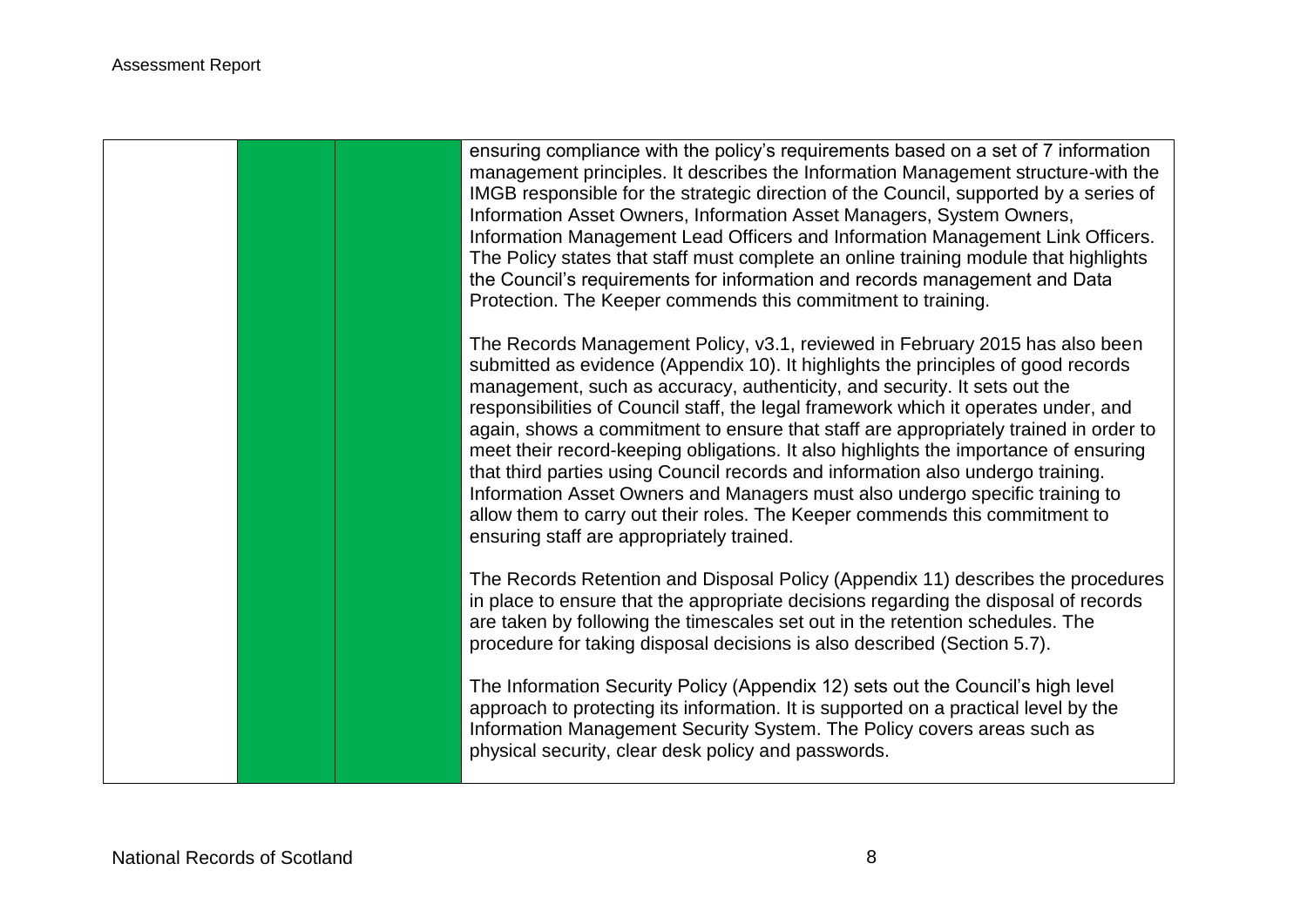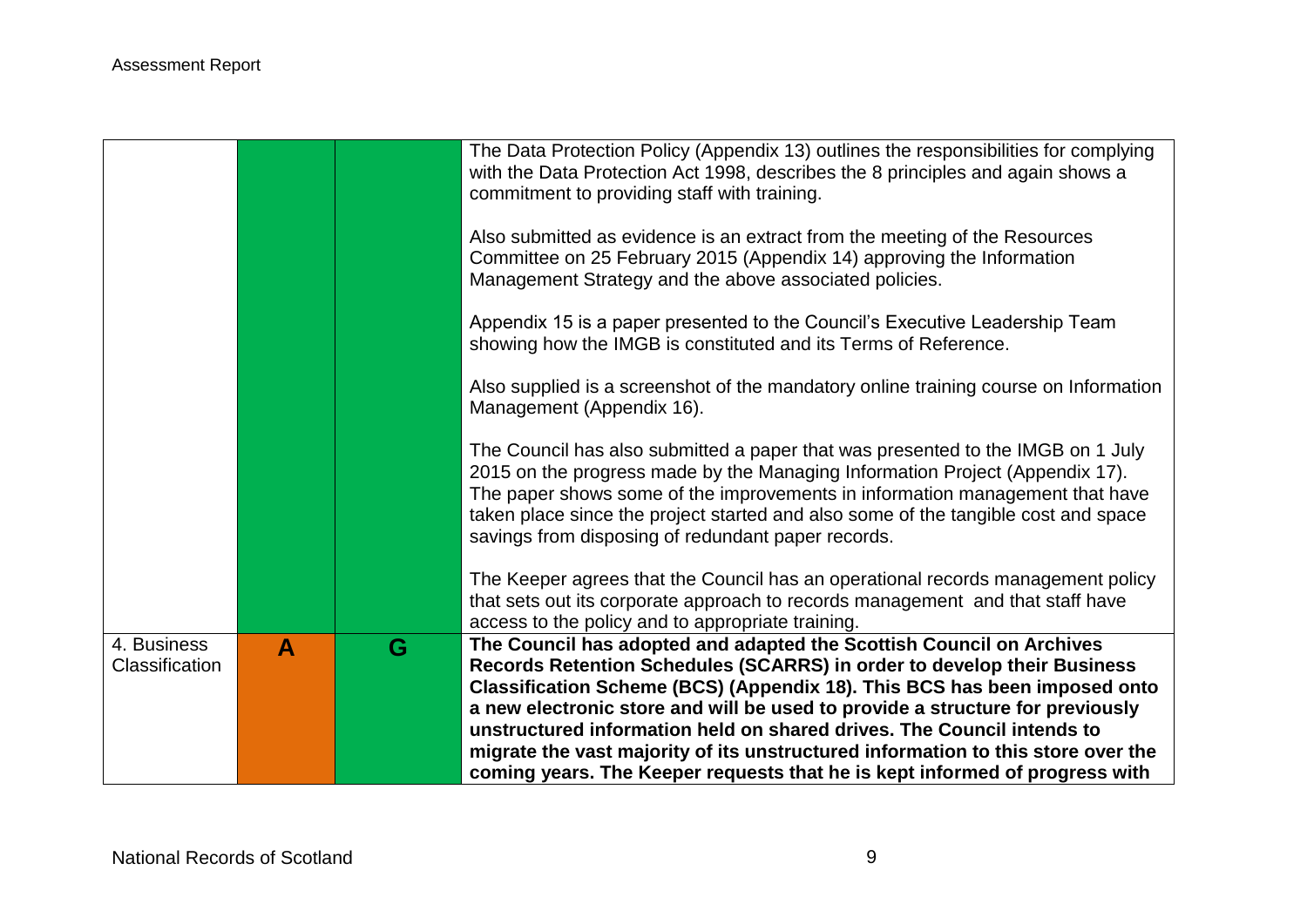|                               |   |   | The Data Protection Policy (Appendix 13) outlines the responsibilities for complying<br>with the Data Protection Act 1998, describes the 8 principles and again shows a<br>commitment to providing staff with training.                                                                                                                                                                     |
|-------------------------------|---|---|---------------------------------------------------------------------------------------------------------------------------------------------------------------------------------------------------------------------------------------------------------------------------------------------------------------------------------------------------------------------------------------------|
|                               |   |   | Also submitted as evidence is an extract from the meeting of the Resources<br>Committee on 25 February 2015 (Appendix 14) approving the Information<br>Management Strategy and the above associated policies.                                                                                                                                                                               |
|                               |   |   | Appendix 15 is a paper presented to the Council's Executive Leadership Team<br>showing how the IMGB is constituted and its Terms of Reference.                                                                                                                                                                                                                                              |
|                               |   |   | Also supplied is a screenshot of the mandatory online training course on Information<br>Management (Appendix 16).                                                                                                                                                                                                                                                                           |
|                               |   |   | The Council has also submitted a paper that was presented to the IMGB on 1 July<br>2015 on the progress made by the Managing Information Project (Appendix 17).<br>The paper shows some of the improvements in information management that have<br>taken place since the project started and also some of the tangible cost and space<br>savings from disposing of redundant paper records. |
|                               |   |   | The Keeper agrees that the Council has an operational records management policy<br>that sets out its corporate approach to records management and that staff have<br>access to the policy and to appropriate training.                                                                                                                                                                      |
| 4. Business<br>Classification | A | G | The Council has adopted and adapted the Scottish Council on Archives<br>Records Retention Schedules (SCARRS) in order to develop their Business<br>Classification Scheme (BCS) (Appendix 18). This BCS has been imposed onto<br>a new electronic store and will be used to provide a structure for previously<br>unstructured information held on shared drives. The Council intends to     |
|                               |   |   | migrate the vast majority of its unstructured information to this store over the<br>coming years. The Keeper requests that he is kept informed of progress with                                                                                                                                                                                                                             |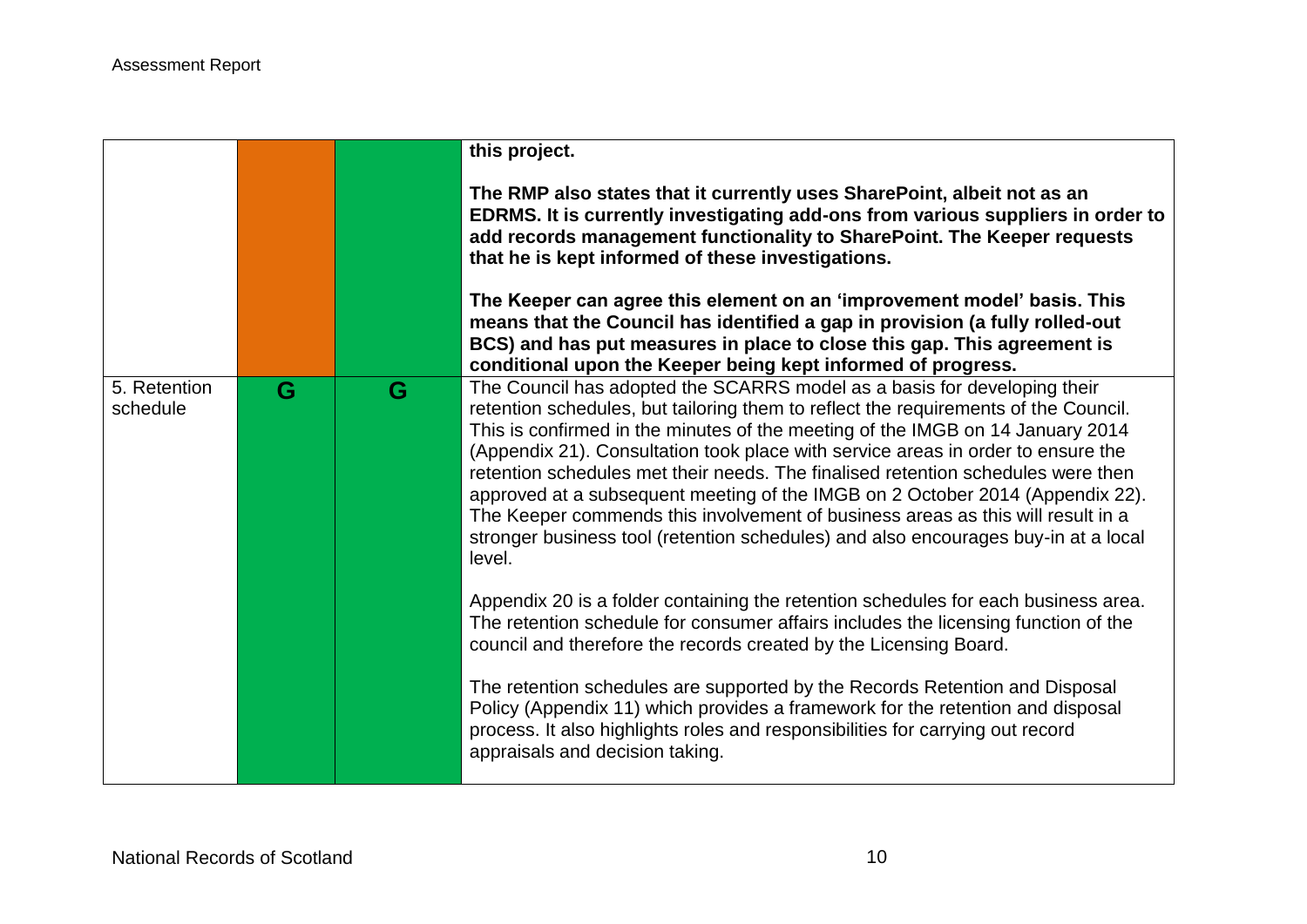|                          |   |   | this project.<br>The RMP also states that it currently uses SharePoint, albeit not as an<br>EDRMS. It is currently investigating add-ons from various suppliers in order to<br>add records management functionality to SharePoint. The Keeper requests<br>that he is kept informed of these investigations.<br>The Keeper can agree this element on an 'improvement model' basis. This<br>means that the Council has identified a gap in provision (a fully rolled-out<br>BCS) and has put measures in place to close this gap. This agreement is<br>conditional upon the Keeper being kept informed of progress.                                                                             |
|--------------------------|---|---|-----------------------------------------------------------------------------------------------------------------------------------------------------------------------------------------------------------------------------------------------------------------------------------------------------------------------------------------------------------------------------------------------------------------------------------------------------------------------------------------------------------------------------------------------------------------------------------------------------------------------------------------------------------------------------------------------|
| 5. Retention<br>schedule | G | G | The Council has adopted the SCARRS model as a basis for developing their<br>retention schedules, but tailoring them to reflect the requirements of the Council.<br>This is confirmed in the minutes of the meeting of the IMGB on 14 January 2014<br>(Appendix 21). Consultation took place with service areas in order to ensure the<br>retention schedules met their needs. The finalised retention schedules were then<br>approved at a subsequent meeting of the IMGB on 2 October 2014 (Appendix 22).<br>The Keeper commends this involvement of business areas as this will result in a<br>stronger business tool (retention schedules) and also encourages buy-in at a local<br>level. |
|                          |   |   | Appendix 20 is a folder containing the retention schedules for each business area.<br>The retention schedule for consumer affairs includes the licensing function of the<br>council and therefore the records created by the Licensing Board.                                                                                                                                                                                                                                                                                                                                                                                                                                                 |
|                          |   |   | The retention schedules are supported by the Records Retention and Disposal<br>Policy (Appendix 11) which provides a framework for the retention and disposal<br>process. It also highlights roles and responsibilities for carrying out record<br>appraisals and decision taking.                                                                                                                                                                                                                                                                                                                                                                                                            |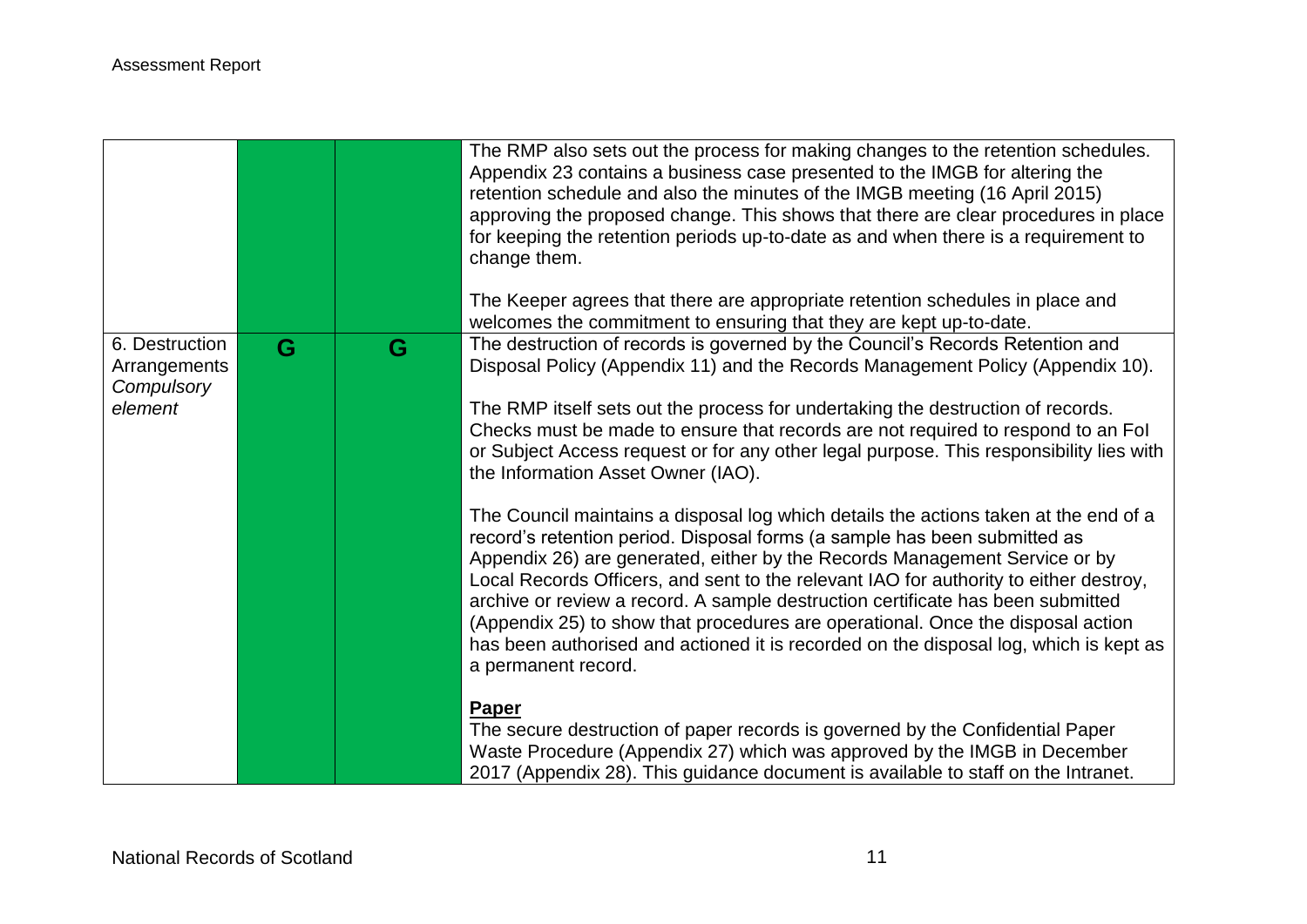|                                                         |   |   | The RMP also sets out the process for making changes to the retention schedules.<br>Appendix 23 contains a business case presented to the IMGB for altering the<br>retention schedule and also the minutes of the IMGB meeting (16 April 2015)<br>approving the proposed change. This shows that there are clear procedures in place<br>for keeping the retention periods up-to-date as and when there is a requirement to<br>change them.<br>The Keeper agrees that there are appropriate retention schedules in place and<br>welcomes the commitment to ensuring that they are kept up-to-date.                              |
|---------------------------------------------------------|---|---|--------------------------------------------------------------------------------------------------------------------------------------------------------------------------------------------------------------------------------------------------------------------------------------------------------------------------------------------------------------------------------------------------------------------------------------------------------------------------------------------------------------------------------------------------------------------------------------------------------------------------------|
| 6. Destruction<br>Arrangements<br>Compulsory<br>element | G | G | The destruction of records is governed by the Council's Records Retention and<br>Disposal Policy (Appendix 11) and the Records Management Policy (Appendix 10).<br>The RMP itself sets out the process for undertaking the destruction of records.<br>Checks must be made to ensure that records are not required to respond to an Fol<br>or Subject Access request or for any other legal purpose. This responsibility lies with<br>the Information Asset Owner (IAO).                                                                                                                                                        |
|                                                         |   |   | The Council maintains a disposal log which details the actions taken at the end of a<br>record's retention period. Disposal forms (a sample has been submitted as<br>Appendix 26) are generated, either by the Records Management Service or by<br>Local Records Officers, and sent to the relevant IAO for authority to either destroy,<br>archive or review a record. A sample destruction certificate has been submitted<br>(Appendix 25) to show that procedures are operational. Once the disposal action<br>has been authorised and actioned it is recorded on the disposal log, which is kept as<br>a permanent record. |
|                                                         |   |   | Paper<br>The secure destruction of paper records is governed by the Confidential Paper<br>Waste Procedure (Appendix 27) which was approved by the IMGB in December<br>2017 (Appendix 28). This guidance document is available to staff on the Intranet.                                                                                                                                                                                                                                                                                                                                                                        |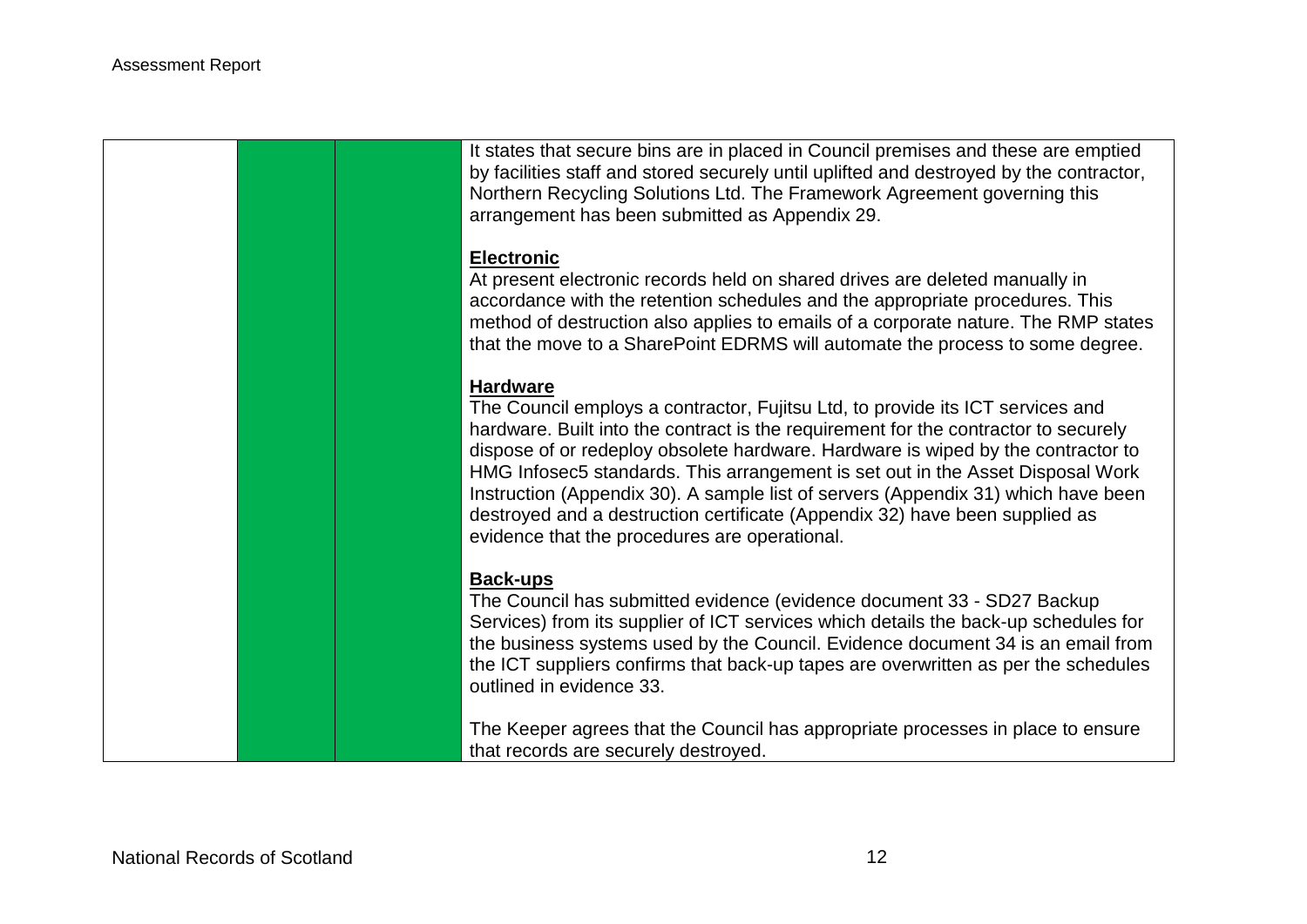It states that secure bins are in placed in Council premises and these are emptied by facilities staff and stored securely until uplifted and destroyed by the contractor, Northern Recycling Solutions Ltd. The Framework Agreement governing this arrangement has been submitted as Appendix 29.

#### **Electronic**

At present electronic records held on shared drives are deleted manually in accordance with the retention schedules and the appropriate procedures. This method of destruction also applies to emails of a corporate nature. The RMP states that the move to a SharePoint EDRMS will automate the process to some degree.

### **Hardware**

The Council employs a contractor, Fujitsu Ltd, to provide its ICT services and hardware. Built into the contract is the requirement for the contractor to securely dispose of or redeploy obsolete hardware. Hardware is wiped by the contractor to HMG Infosec5 standards. This arrangement is set out in the Asset Disposal Work Instruction (Appendix 30). A sample list of servers (Appendix 31) which have been destroyed and a destruction certificate (Appendix 32) have been supplied as evidence that the procedures are operational.

### **Back-ups**

The Council has submitted evidence (evidence document 33 - SD27 Backup Services) from its supplier of ICT services which details the back-up schedules for the business systems used by the Council. Evidence document 34 is an email from the ICT suppliers confirms that back-up tapes are overwritten as per the schedules outlined in evidence 33.

The Keeper agrees that the Council has appropriate processes in place to ensure that records are securely destroyed.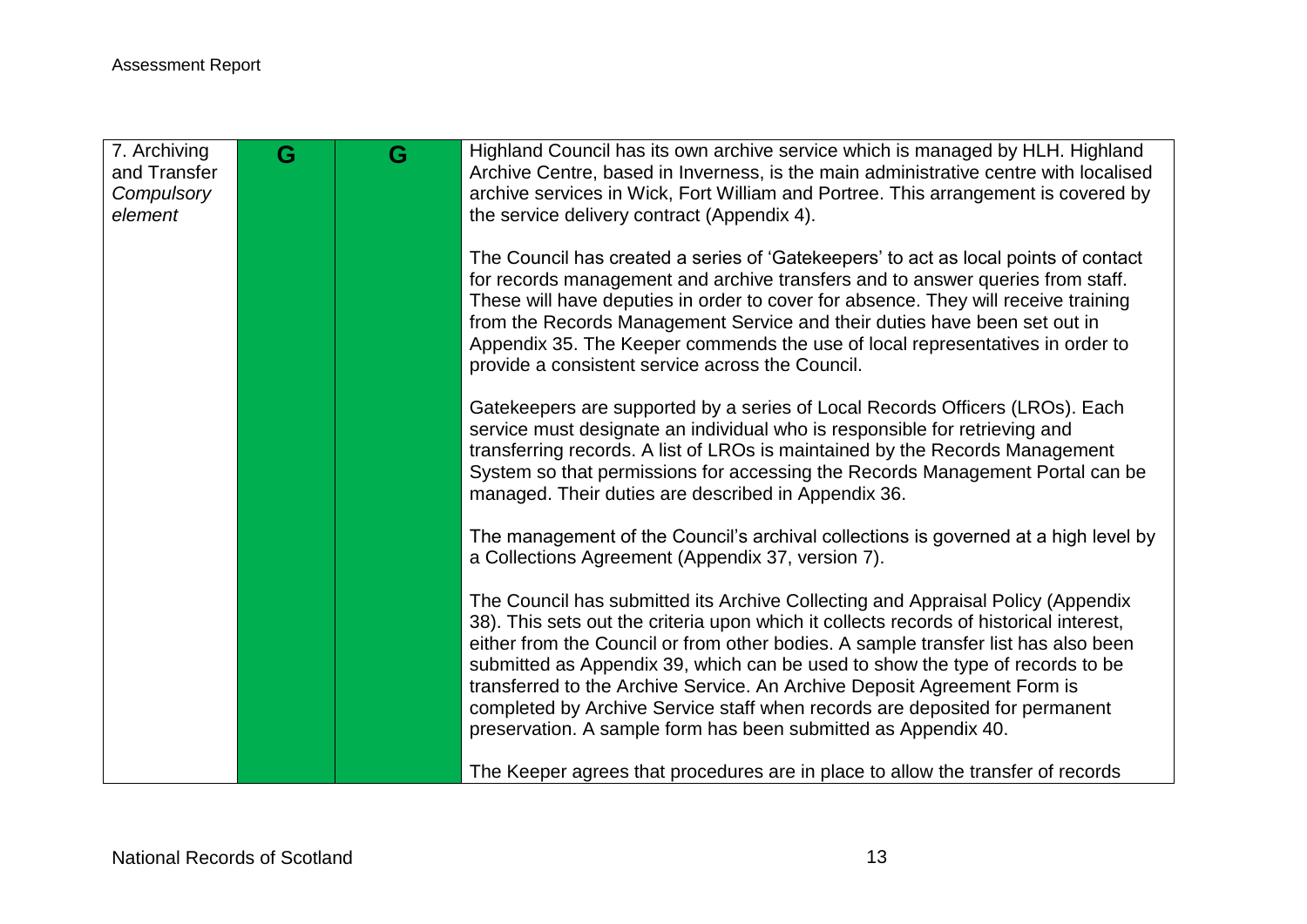| 7. Archiving<br>and Transfer | G | G | Highland Council has its own archive service which is managed by HLH. Highland<br>Archive Centre, based in Inverness, is the main administrative centre with localised                                                                                                                                                                                                                                                                                                                                                                                                        |
|------------------------------|---|---|-------------------------------------------------------------------------------------------------------------------------------------------------------------------------------------------------------------------------------------------------------------------------------------------------------------------------------------------------------------------------------------------------------------------------------------------------------------------------------------------------------------------------------------------------------------------------------|
| Compulsory<br>element        |   |   | archive services in Wick, Fort William and Portree. This arrangement is covered by<br>the service delivery contract (Appendix 4).                                                                                                                                                                                                                                                                                                                                                                                                                                             |
|                              |   |   | The Council has created a series of 'Gatekeepers' to act as local points of contact<br>for records management and archive transfers and to answer queries from staff.<br>These will have deputies in order to cover for absence. They will receive training<br>from the Records Management Service and their duties have been set out in<br>Appendix 35. The Keeper commends the use of local representatives in order to<br>provide a consistent service across the Council.                                                                                                 |
|                              |   |   | Gatekeepers are supported by a series of Local Records Officers (LROs). Each<br>service must designate an individual who is responsible for retrieving and<br>transferring records. A list of LROs is maintained by the Records Management<br>System so that permissions for accessing the Records Management Portal can be<br>managed. Their duties are described in Appendix 36.                                                                                                                                                                                            |
|                              |   |   | The management of the Council's archival collections is governed at a high level by<br>a Collections Agreement (Appendix 37, version 7).                                                                                                                                                                                                                                                                                                                                                                                                                                      |
|                              |   |   | The Council has submitted its Archive Collecting and Appraisal Policy (Appendix<br>38). This sets out the criteria upon which it collects records of historical interest,<br>either from the Council or from other bodies. A sample transfer list has also been<br>submitted as Appendix 39, which can be used to show the type of records to be<br>transferred to the Archive Service. An Archive Deposit Agreement Form is<br>completed by Archive Service staff when records are deposited for permanent<br>preservation. A sample form has been submitted as Appendix 40. |
|                              |   |   | The Keeper agrees that procedures are in place to allow the transfer of records                                                                                                                                                                                                                                                                                                                                                                                                                                                                                               |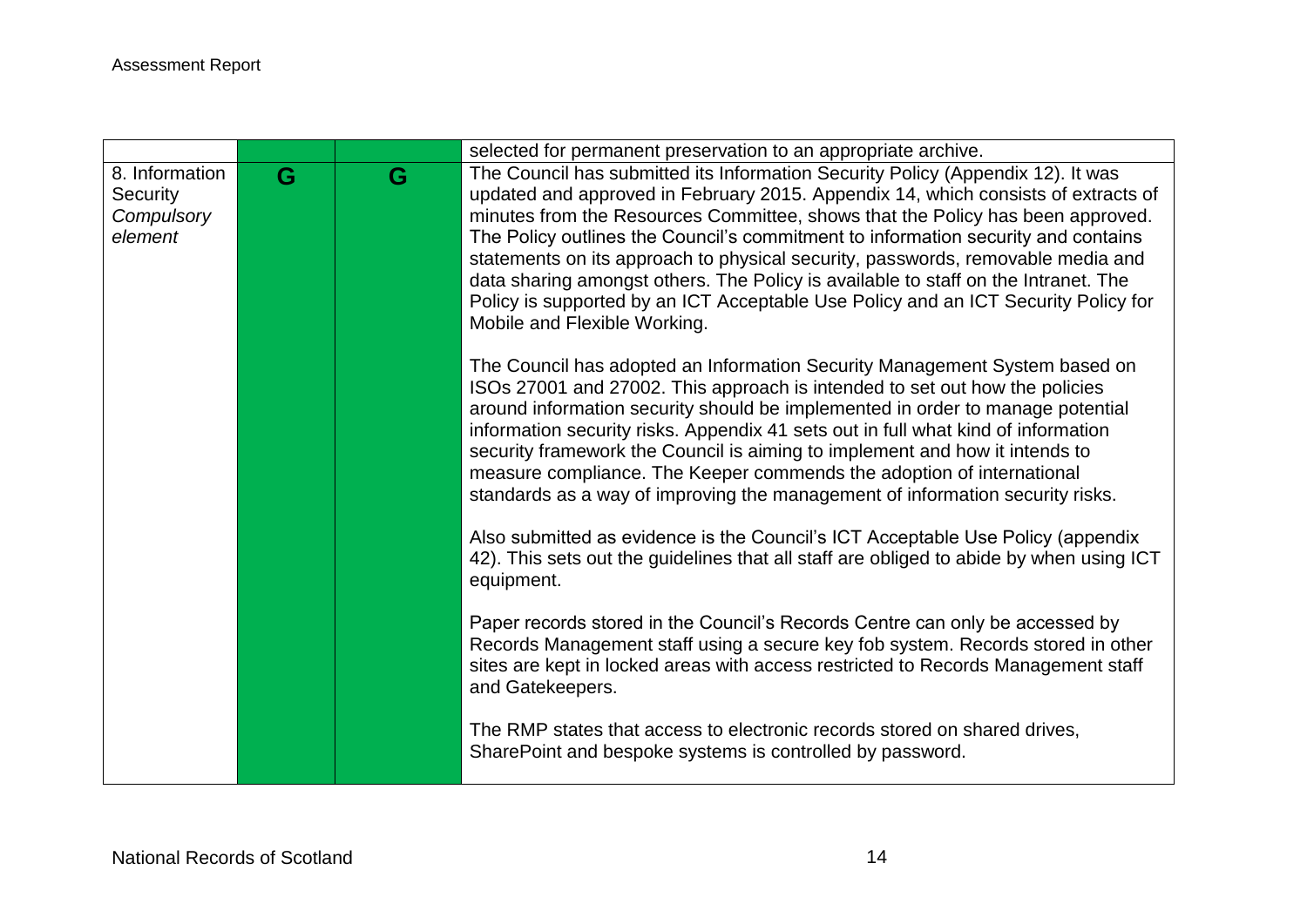|                |   |   | selected for permanent preservation to an appropriate archive.                                                     |
|----------------|---|---|--------------------------------------------------------------------------------------------------------------------|
| 8. Information | G | G | The Council has submitted its Information Security Policy (Appendix 12). It was                                    |
| Security       |   |   | updated and approved in February 2015. Appendix 14, which consists of extracts of                                  |
| Compulsory     |   |   | minutes from the Resources Committee, shows that the Policy has been approved.                                     |
| element        |   |   | The Policy outlines the Council's commitment to information security and contains                                  |
|                |   |   | statements on its approach to physical security, passwords, removable media and                                    |
|                |   |   | data sharing amongst others. The Policy is available to staff on the Intranet. The                                 |
|                |   |   | Policy is supported by an ICT Acceptable Use Policy and an ICT Security Policy for<br>Mobile and Flexible Working. |
|                |   |   | The Council has adopted an Information Security Management System based on                                         |
|                |   |   | ISOs 27001 and 27002. This approach is intended to set out how the policies                                        |
|                |   |   | around information security should be implemented in order to manage potential                                     |
|                |   |   | information security risks. Appendix 41 sets out in full what kind of information                                  |
|                |   |   | security framework the Council is aiming to implement and how it intends to                                        |
|                |   |   | measure compliance. The Keeper commends the adoption of international                                              |
|                |   |   | standards as a way of improving the management of information security risks.                                      |
|                |   |   | Also submitted as evidence is the Council's ICT Acceptable Use Policy (appendix                                    |
|                |   |   | 42). This sets out the guidelines that all staff are obliged to abide by when using ICT<br>equipment.              |
|                |   |   |                                                                                                                    |
|                |   |   | Paper records stored in the Council's Records Centre can only be accessed by                                       |
|                |   |   | Records Management staff using a secure key fob system. Records stored in other                                    |
|                |   |   | sites are kept in locked areas with access restricted to Records Management staff                                  |
|                |   |   | and Gatekeepers.                                                                                                   |
|                |   |   | The RMP states that access to electronic records stored on shared drives,                                          |
|                |   |   | SharePoint and bespoke systems is controlled by password.                                                          |
|                |   |   |                                                                                                                    |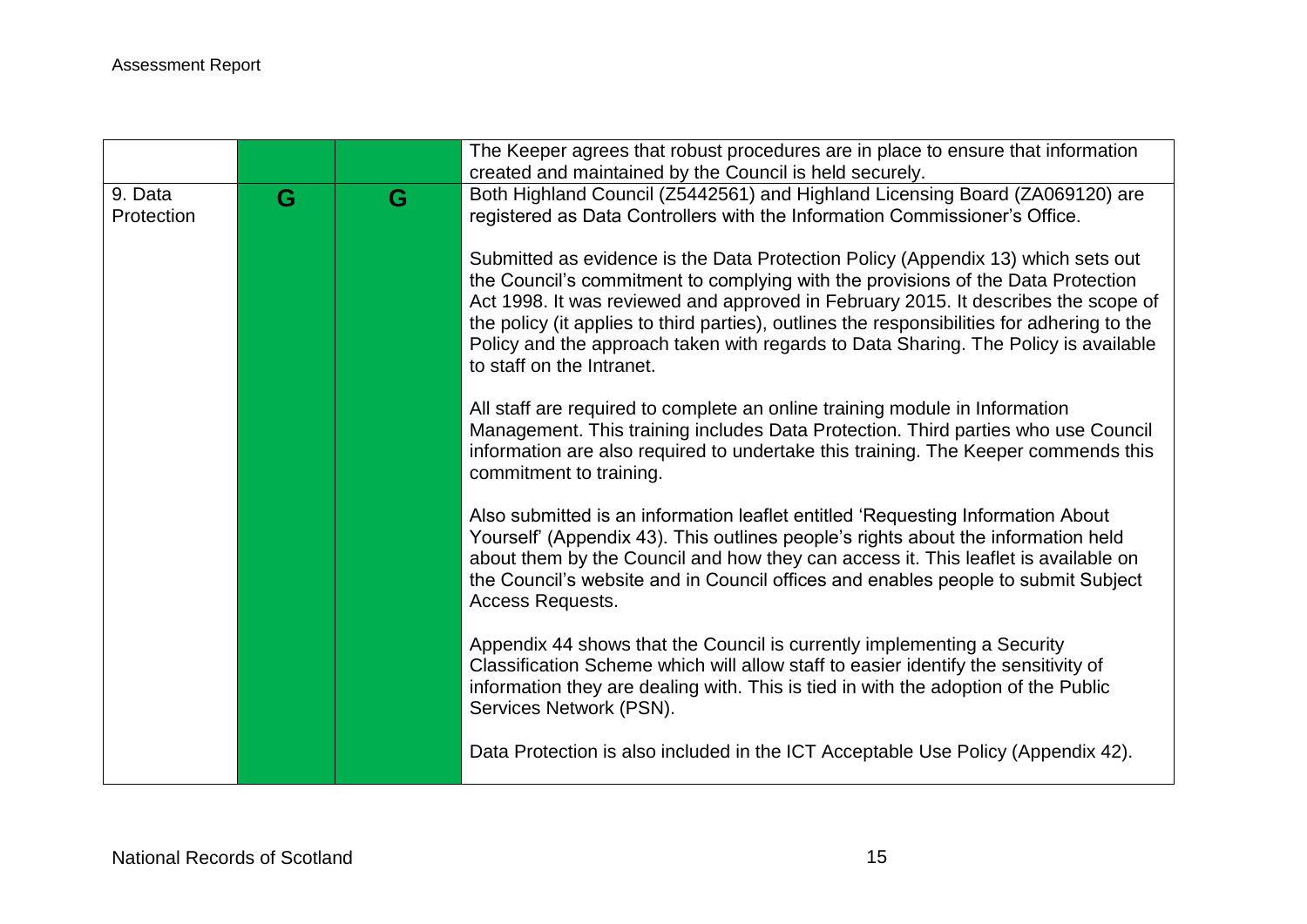|                       |   |   | The Keeper agrees that robust procedures are in place to ensure that information<br>created and maintained by the Council is held securely.                                                                                                                                                                                                                                                                                                                                   |
|-----------------------|---|---|-------------------------------------------------------------------------------------------------------------------------------------------------------------------------------------------------------------------------------------------------------------------------------------------------------------------------------------------------------------------------------------------------------------------------------------------------------------------------------|
| 9. Data<br>Protection | G | G | Both Highland Council (Z5442561) and Highland Licensing Board (ZA069120) are<br>registered as Data Controllers with the Information Commissioner's Office.                                                                                                                                                                                                                                                                                                                    |
|                       |   |   | Submitted as evidence is the Data Protection Policy (Appendix 13) which sets out<br>the Council's commitment to complying with the provisions of the Data Protection<br>Act 1998. It was reviewed and approved in February 2015. It describes the scope of<br>the policy (it applies to third parties), outlines the responsibilities for adhering to the<br>Policy and the approach taken with regards to Data Sharing. The Policy is available<br>to staff on the Intranet. |
|                       |   |   | All staff are required to complete an online training module in Information<br>Management. This training includes Data Protection. Third parties who use Council<br>information are also required to undertake this training. The Keeper commends this<br>commitment to training.                                                                                                                                                                                             |
|                       |   |   | Also submitted is an information leaflet entitled 'Requesting Information About<br>Yourself' (Appendix 43). This outlines people's rights about the information held<br>about them by the Council and how they can access it. This leaflet is available on<br>the Council's website and in Council offices and enables people to submit Subject<br>Access Requests.                                                                                                           |
|                       |   |   | Appendix 44 shows that the Council is currently implementing a Security<br>Classification Scheme which will allow staff to easier identify the sensitivity of<br>information they are dealing with. This is tied in with the adoption of the Public<br>Services Network (PSN).                                                                                                                                                                                                |
|                       |   |   | Data Protection is also included in the ICT Acceptable Use Policy (Appendix 42).                                                                                                                                                                                                                                                                                                                                                                                              |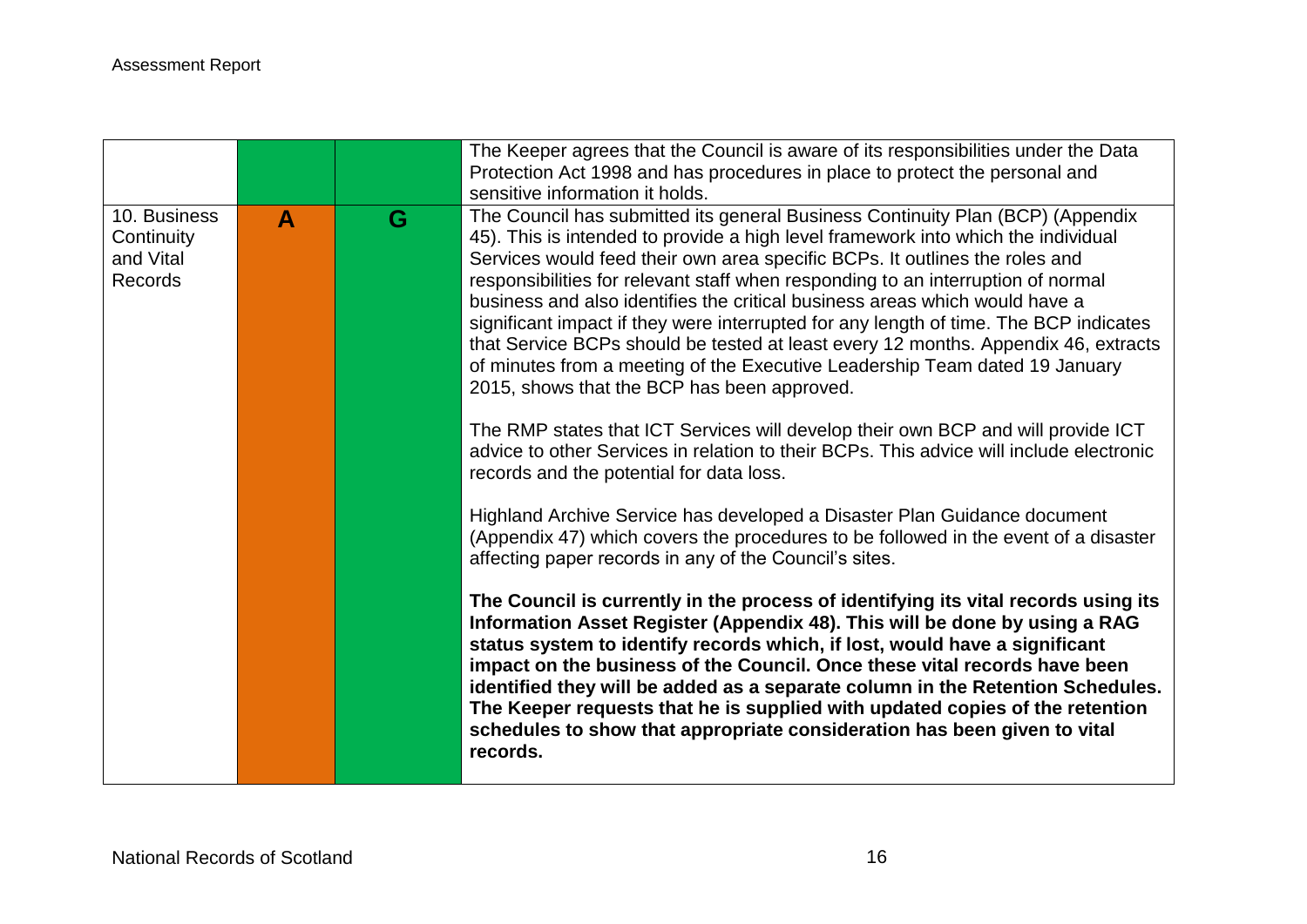|                                                    |   |   | The Keeper agrees that the Council is aware of its responsibilities under the Data<br>Protection Act 1998 and has procedures in place to protect the personal and<br>sensitive information it holds.                                                                                                                                                                                                                                                                                                                                                                                                                                                                                                                                                                                                                                                                                                                                                          |
|----------------------------------------------------|---|---|---------------------------------------------------------------------------------------------------------------------------------------------------------------------------------------------------------------------------------------------------------------------------------------------------------------------------------------------------------------------------------------------------------------------------------------------------------------------------------------------------------------------------------------------------------------------------------------------------------------------------------------------------------------------------------------------------------------------------------------------------------------------------------------------------------------------------------------------------------------------------------------------------------------------------------------------------------------|
| 10. Business<br>Continuity<br>and Vital<br>Records | A | G | The Council has submitted its general Business Continuity Plan (BCP) (Appendix<br>45). This is intended to provide a high level framework into which the individual<br>Services would feed their own area specific BCPs. It outlines the roles and<br>responsibilities for relevant staff when responding to an interruption of normal<br>business and also identifies the critical business areas which would have a<br>significant impact if they were interrupted for any length of time. The BCP indicates<br>that Service BCPs should be tested at least every 12 months. Appendix 46, extracts<br>of minutes from a meeting of the Executive Leadership Team dated 19 January<br>2015, shows that the BCP has been approved.<br>The RMP states that ICT Services will develop their own BCP and will provide ICT<br>advice to other Services in relation to their BCPs. This advice will include electronic<br>records and the potential for data loss. |
|                                                    |   |   | Highland Archive Service has developed a Disaster Plan Guidance document<br>(Appendix 47) which covers the procedures to be followed in the event of a disaster<br>affecting paper records in any of the Council's sites.                                                                                                                                                                                                                                                                                                                                                                                                                                                                                                                                                                                                                                                                                                                                     |
|                                                    |   |   | The Council is currently in the process of identifying its vital records using its<br>Information Asset Register (Appendix 48). This will be done by using a RAG<br>status system to identify records which, if lost, would have a significant<br>impact on the business of the Council. Once these vital records have been<br>identified they will be added as a separate column in the Retention Schedules.<br>The Keeper requests that he is supplied with updated copies of the retention<br>schedules to show that appropriate consideration has been given to vital<br>records.                                                                                                                                                                                                                                                                                                                                                                         |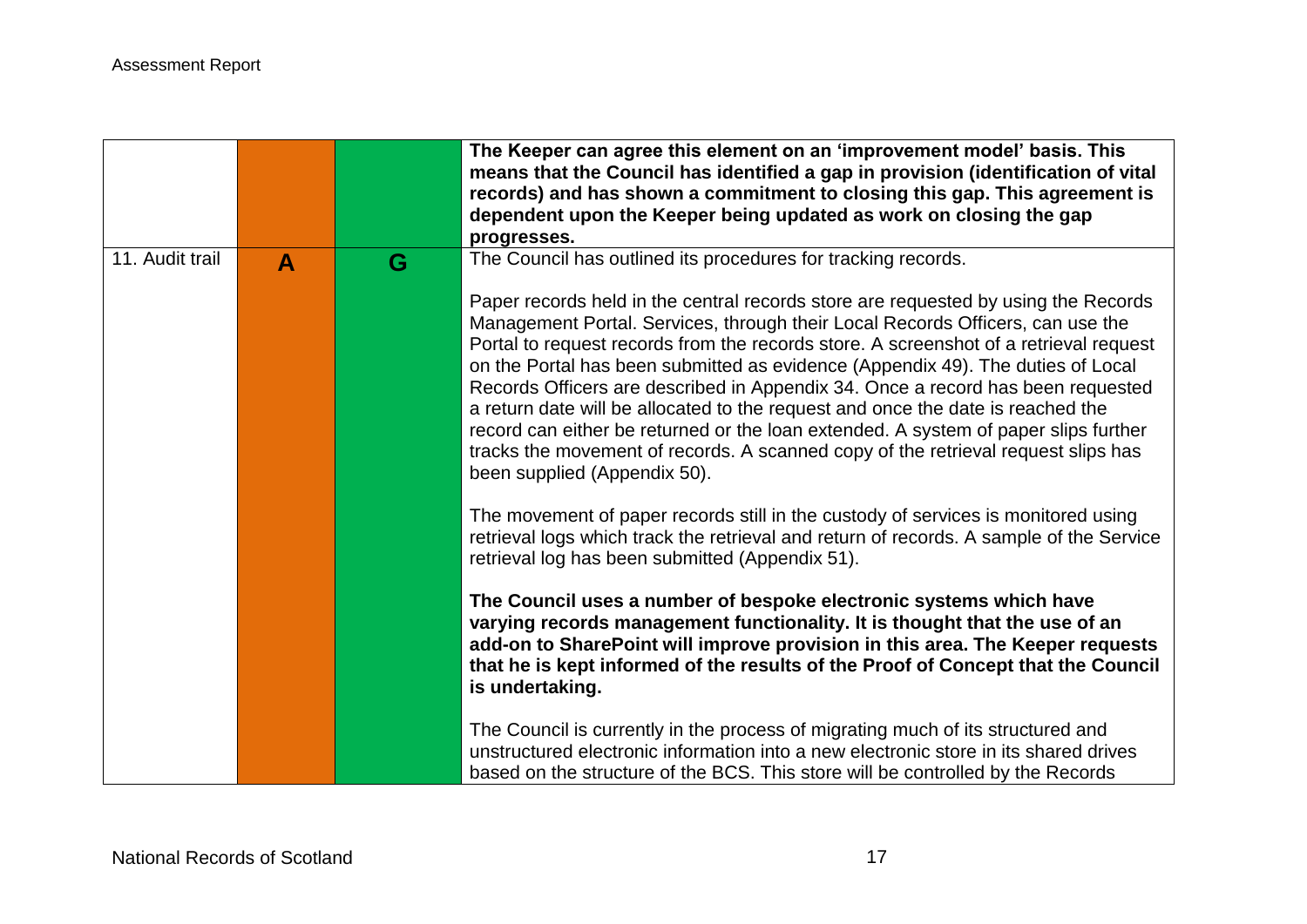|                 |              |   | The Keeper can agree this element on an 'improvement model' basis. This                                                                                                                                                                                                                                                                                                                                                                                                                                                                                                                                                                                                                                                            |
|-----------------|--------------|---|------------------------------------------------------------------------------------------------------------------------------------------------------------------------------------------------------------------------------------------------------------------------------------------------------------------------------------------------------------------------------------------------------------------------------------------------------------------------------------------------------------------------------------------------------------------------------------------------------------------------------------------------------------------------------------------------------------------------------------|
|                 |              |   | means that the Council has identified a gap in provision (identification of vital<br>records) and has shown a commitment to closing this gap. This agreement is                                                                                                                                                                                                                                                                                                                                                                                                                                                                                                                                                                    |
|                 |              |   | dependent upon the Keeper being updated as work on closing the gap                                                                                                                                                                                                                                                                                                                                                                                                                                                                                                                                                                                                                                                                 |
|                 |              |   | progresses.                                                                                                                                                                                                                                                                                                                                                                                                                                                                                                                                                                                                                                                                                                                        |
| 11. Audit trail |              | G | The Council has outlined its procedures for tracking records.                                                                                                                                                                                                                                                                                                                                                                                                                                                                                                                                                                                                                                                                      |
|                 | $\mathbf{A}$ |   |                                                                                                                                                                                                                                                                                                                                                                                                                                                                                                                                                                                                                                                                                                                                    |
|                 |              |   | Paper records held in the central records store are requested by using the Records<br>Management Portal. Services, through their Local Records Officers, can use the<br>Portal to request records from the records store. A screenshot of a retrieval request<br>on the Portal has been submitted as evidence (Appendix 49). The duties of Local<br>Records Officers are described in Appendix 34. Once a record has been requested<br>a return date will be allocated to the request and once the date is reached the<br>record can either be returned or the loan extended. A system of paper slips further<br>tracks the movement of records. A scanned copy of the retrieval request slips has<br>been supplied (Appendix 50). |
|                 |              |   | The movement of paper records still in the custody of services is monitored using<br>retrieval logs which track the retrieval and return of records. A sample of the Service<br>retrieval log has been submitted (Appendix 51).                                                                                                                                                                                                                                                                                                                                                                                                                                                                                                    |
|                 |              |   | The Council uses a number of bespoke electronic systems which have<br>varying records management functionality. It is thought that the use of an<br>add-on to SharePoint will improve provision in this area. The Keeper requests<br>that he is kept informed of the results of the Proof of Concept that the Council<br>is undertaking.                                                                                                                                                                                                                                                                                                                                                                                           |
|                 |              |   | The Council is currently in the process of migrating much of its structured and<br>unstructured electronic information into a new electronic store in its shared drives<br>based on the structure of the BCS. This store will be controlled by the Records                                                                                                                                                                                                                                                                                                                                                                                                                                                                         |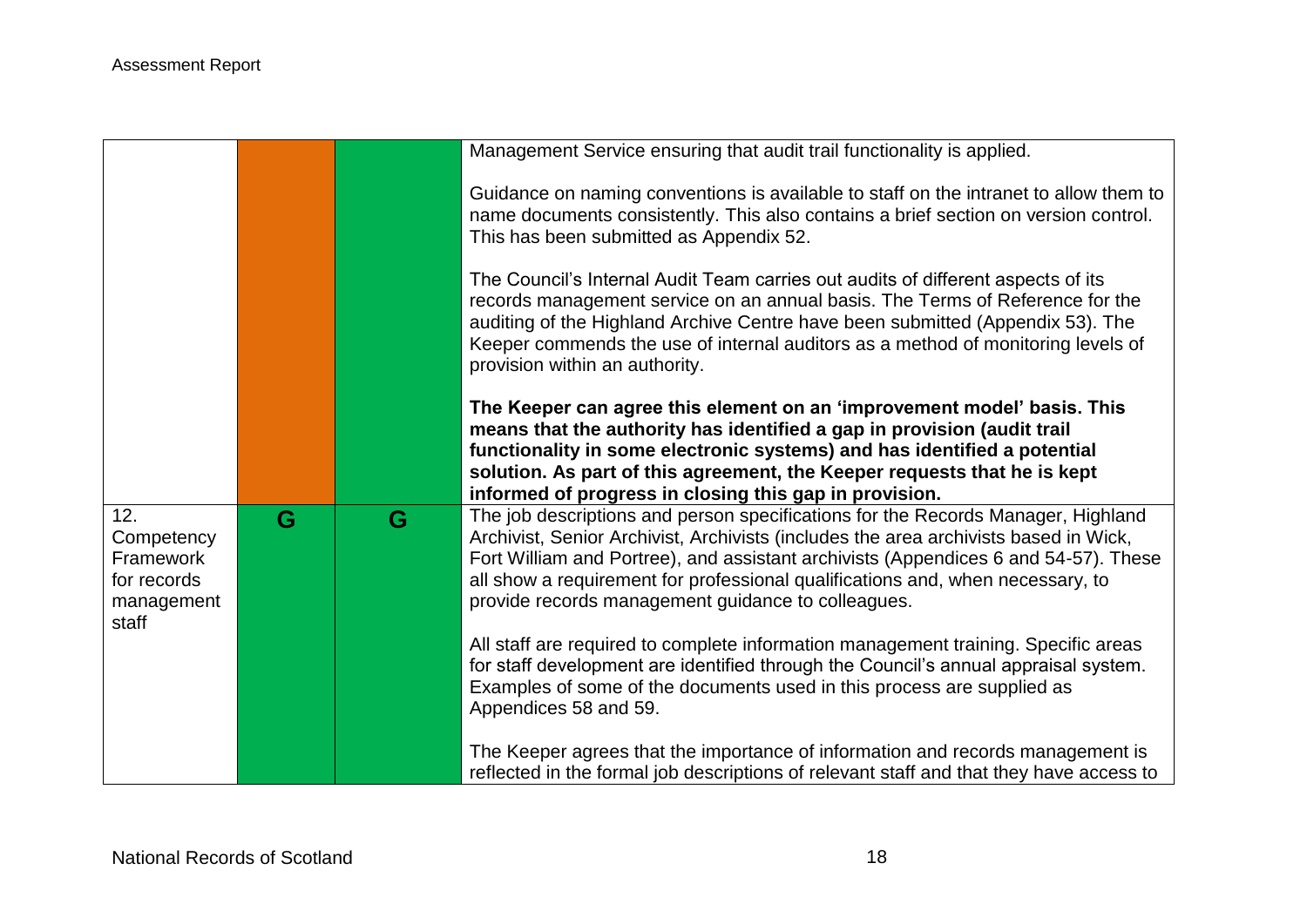|                                                                      |   |   | Management Service ensuring that audit trail functionality is applied.                                                                                                                                                                                                                                                                                                                                  |
|----------------------------------------------------------------------|---|---|---------------------------------------------------------------------------------------------------------------------------------------------------------------------------------------------------------------------------------------------------------------------------------------------------------------------------------------------------------------------------------------------------------|
|                                                                      |   |   | Guidance on naming conventions is available to staff on the intranet to allow them to<br>name documents consistently. This also contains a brief section on version control.<br>This has been submitted as Appendix 52.                                                                                                                                                                                 |
|                                                                      |   |   | The Council's Internal Audit Team carries out audits of different aspects of its<br>records management service on an annual basis. The Terms of Reference for the<br>auditing of the Highland Archive Centre have been submitted (Appendix 53). The<br>Keeper commends the use of internal auditors as a method of monitoring levels of<br>provision within an authority.                               |
|                                                                      |   |   | The Keeper can agree this element on an 'improvement model' basis. This<br>means that the authority has identified a gap in provision (audit trail<br>functionality in some electronic systems) and has identified a potential<br>solution. As part of this agreement, the Keeper requests that he is kept<br>informed of progress in closing this gap in provision.                                    |
| 12.<br>Competency<br>Framework<br>for records<br>management<br>staff | G | G | The job descriptions and person specifications for the Records Manager, Highland<br>Archivist, Senior Archivist, Archivists (includes the area archivists based in Wick,<br>Fort William and Portree), and assistant archivists (Appendices 6 and 54-57). These<br>all show a requirement for professional qualifications and, when necessary, to<br>provide records management guidance to colleagues. |
|                                                                      |   |   | All staff are required to complete information management training. Specific areas<br>for staff development are identified through the Council's annual appraisal system.<br>Examples of some of the documents used in this process are supplied as<br>Appendices 58 and 59.                                                                                                                            |
|                                                                      |   |   | The Keeper agrees that the importance of information and records management is<br>reflected in the formal job descriptions of relevant staff and that they have access to                                                                                                                                                                                                                               |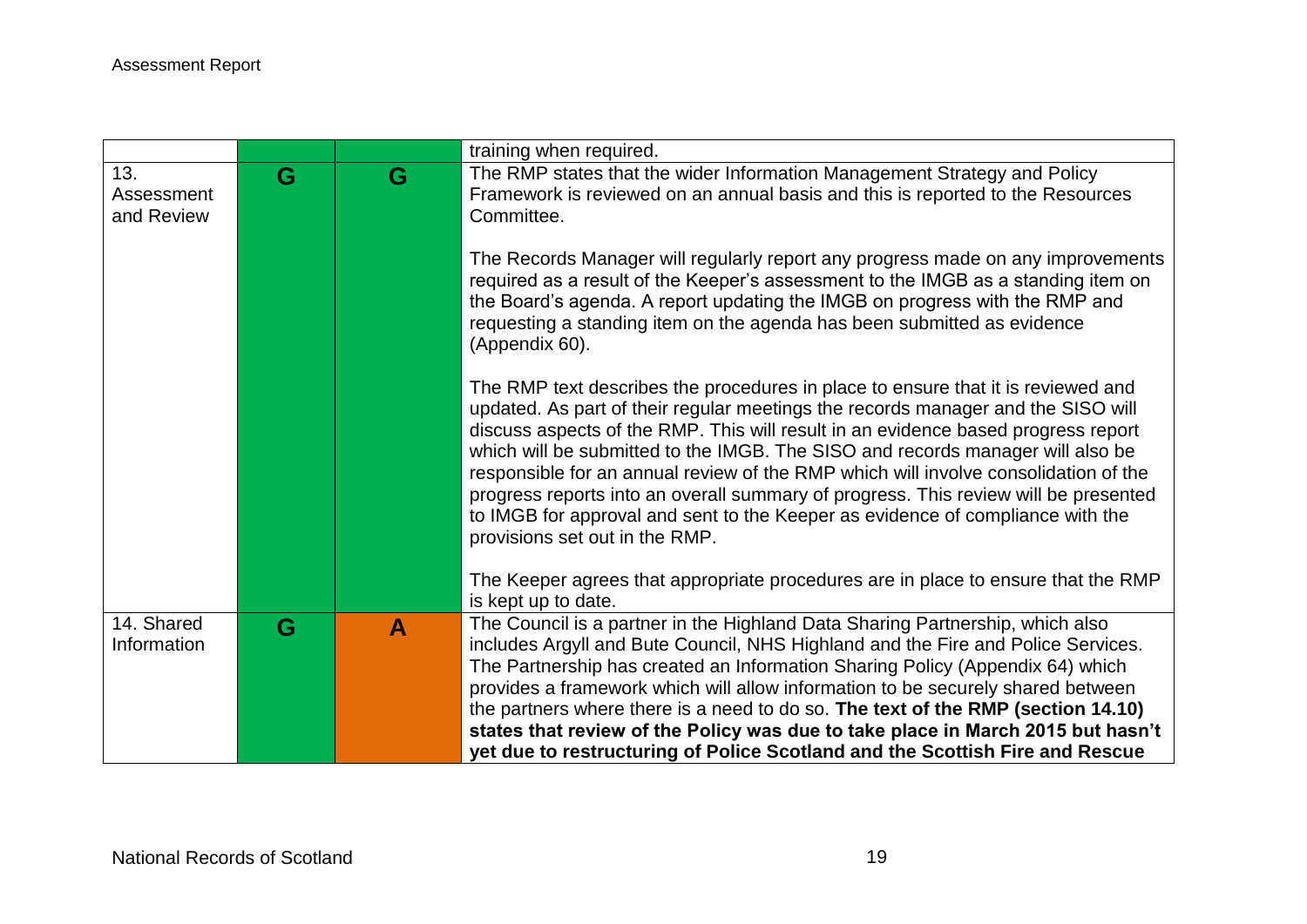|                                 |   |              | training when required.                                                                                                                                                                                                                                                                                                                                                                                                                                                                                                                                                                                                                       |
|---------------------------------|---|--------------|-----------------------------------------------------------------------------------------------------------------------------------------------------------------------------------------------------------------------------------------------------------------------------------------------------------------------------------------------------------------------------------------------------------------------------------------------------------------------------------------------------------------------------------------------------------------------------------------------------------------------------------------------|
| 13.<br>Assessment<br>and Review | G | G            | The RMP states that the wider Information Management Strategy and Policy<br>Framework is reviewed on an annual basis and this is reported to the Resources<br>Committee.                                                                                                                                                                                                                                                                                                                                                                                                                                                                      |
|                                 |   |              | The Records Manager will regularly report any progress made on any improvements<br>required as a result of the Keeper's assessment to the IMGB as a standing item on<br>the Board's agenda. A report updating the IMGB on progress with the RMP and<br>requesting a standing item on the agenda has been submitted as evidence<br>(Appendix 60).                                                                                                                                                                                                                                                                                              |
|                                 |   |              | The RMP text describes the procedures in place to ensure that it is reviewed and<br>updated. As part of their regular meetings the records manager and the SISO will<br>discuss aspects of the RMP. This will result in an evidence based progress report<br>which will be submitted to the IMGB. The SISO and records manager will also be<br>responsible for an annual review of the RMP which will involve consolidation of the<br>progress reports into an overall summary of progress. This review will be presented<br>to IMGB for approval and sent to the Keeper as evidence of compliance with the<br>provisions set out in the RMP. |
|                                 |   |              | The Keeper agrees that appropriate procedures are in place to ensure that the RMP<br>is kept up to date.                                                                                                                                                                                                                                                                                                                                                                                                                                                                                                                                      |
| 14. Shared<br>Information       | G | $\mathbf{A}$ | The Council is a partner in the Highland Data Sharing Partnership, which also<br>includes Argyll and Bute Council, NHS Highland and the Fire and Police Services.<br>The Partnership has created an Information Sharing Policy (Appendix 64) which<br>provides a framework which will allow information to be securely shared between<br>the partners where there is a need to do so. The text of the RMP (section 14.10)<br>states that review of the Policy was due to take place in March 2015 but hasn't                                                                                                                                  |
|                                 |   |              | yet due to restructuring of Police Scotland and the Scottish Fire and Rescue                                                                                                                                                                                                                                                                                                                                                                                                                                                                                                                                                                  |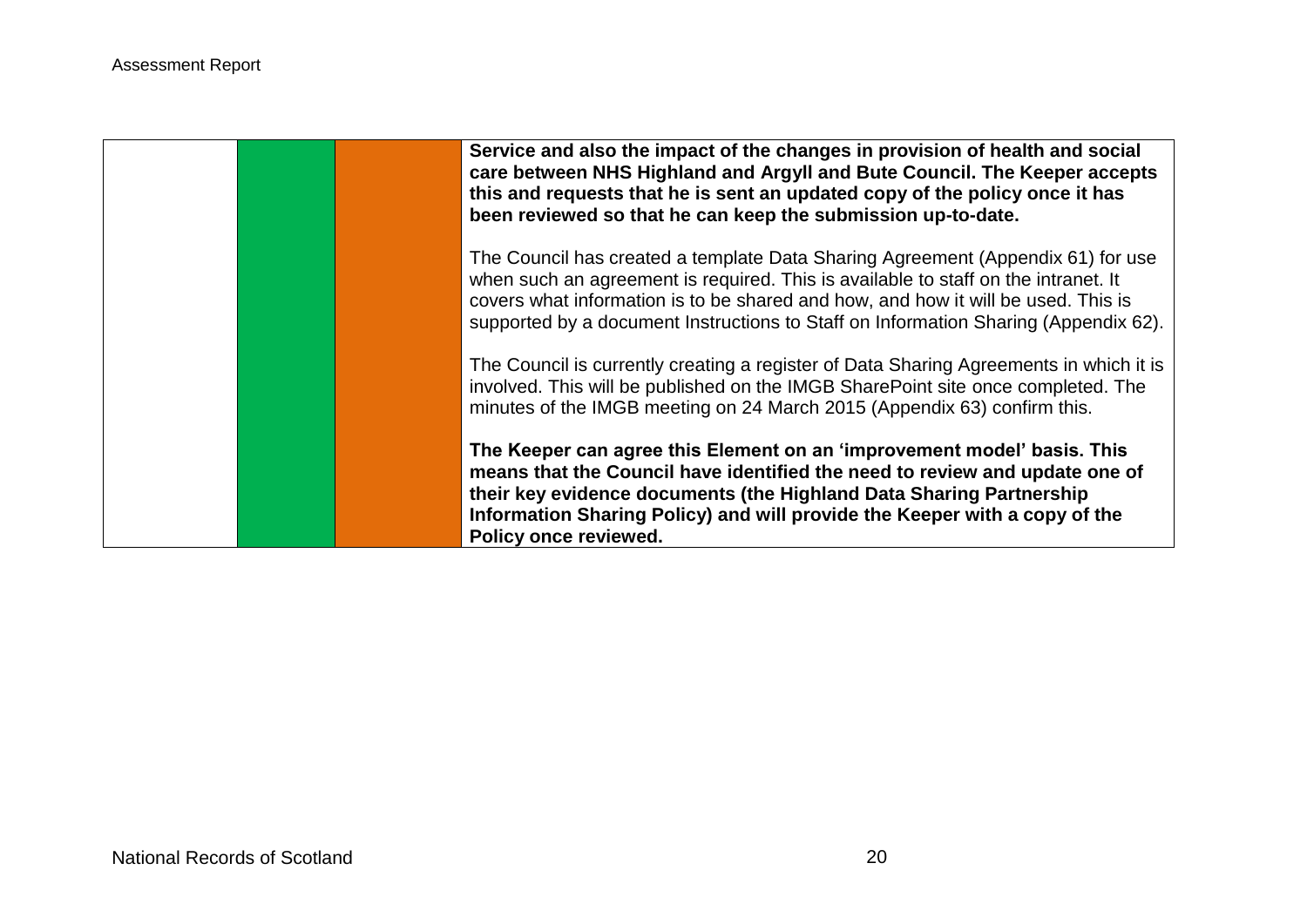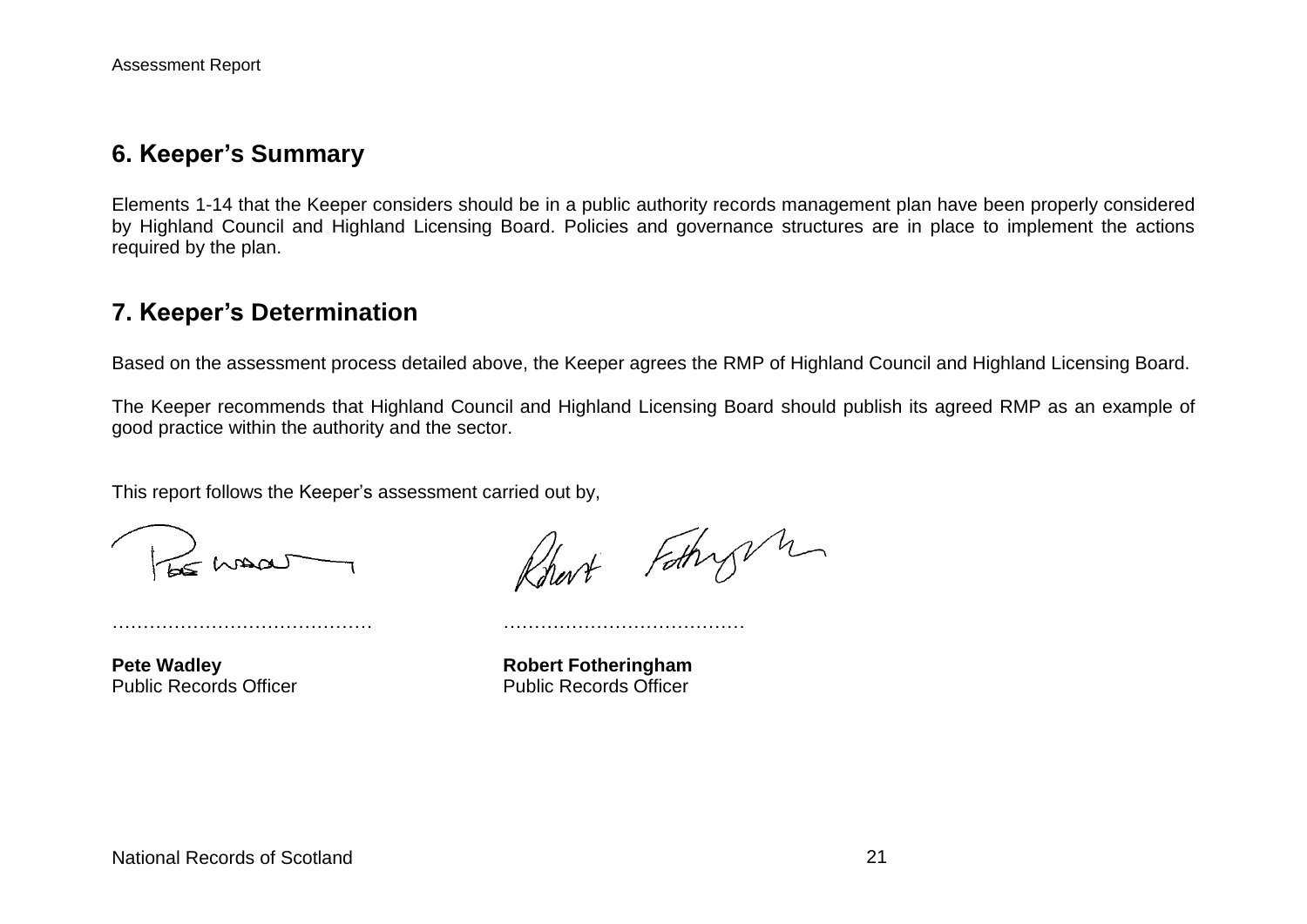## **6. Keeper's Summary**

Elements 1-14 that the Keeper considers should be in a public authority records management plan have been properly considered by Highland Council and Highland Licensing Board. Policies and governance structures are in place to implement the actions required by the plan.

## **7. Keeper's Determination**

Based on the assessment process detailed above, the Keeper agrees the RMP of Highland Council and Highland Licensing Board.

The Keeper recommends that Highland Council and Highland Licensing Board should publish its agreed RMP as an example of good practice within the authority and the sector.

This report follows the Keeper's assessment carried out by,

…………………………………… …………………………………

Rhart Fothy m

Public Records Officer **Public Records Officer** 

**Pete Wadley <b>Robert Fotheringham**